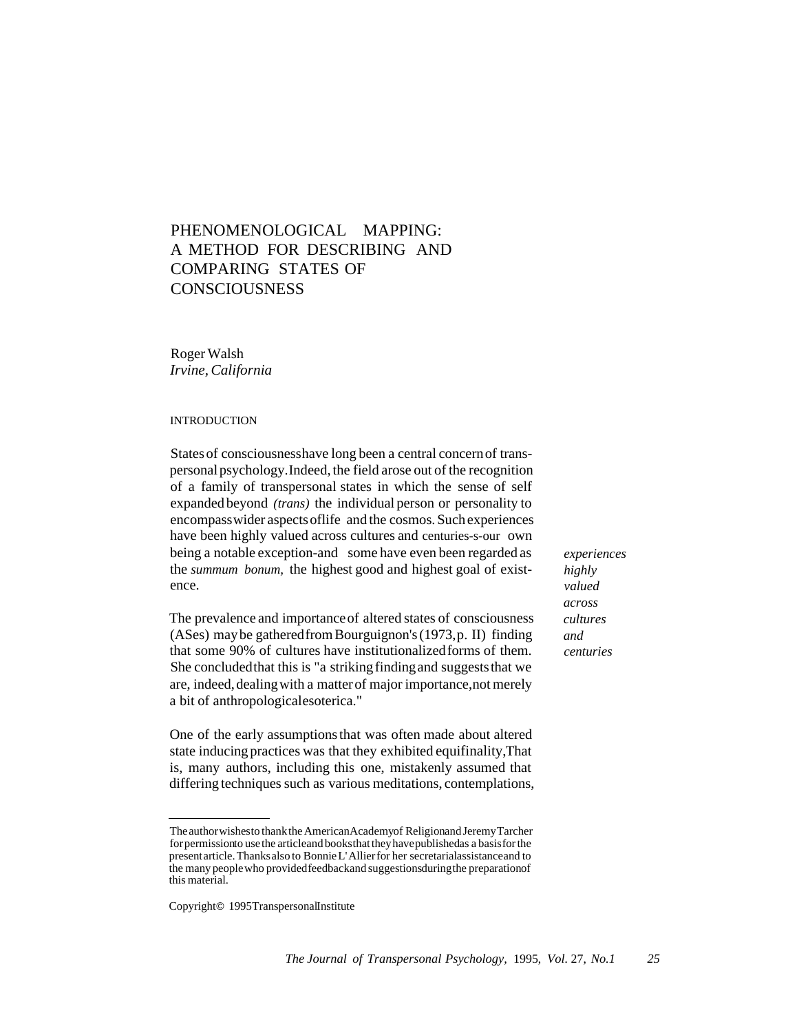# PHENOMENOLOGICAL MAPPING: A METHOD FOR DESCRIBING AND COMPARING STATES OF **CONSCIOUSNESS**

Roger Walsh *Irvine, California*

# INTRODUCTION

States of consciousnesshave long been a central concernof transpersonal psychology.Indeed, the field arose out of the recognition of a family of transpersonal states in which the sense of self expandedbeyond *(trans)* the individual person or personality to encompasswider aspectsoflife and the cosmos. Suchexperiences have been highly valued across cultures and centuries-s-our own being a notable exception-and some have even been regarded as the *summum bonum,* the highest good and highest goal of existence.

The prevalence and importanceof altered states of consciousness (ASes) maybe gatheredfrom Bourguignon's (1973,p. II) finding that some 90% of cultures have institutionalizedforms of them. She concludedthat this is "a striking findingand suggeststhat we are, indeed, dealing with a matter of major importance, not merely a bit of anthropologicalesoterica."

One of the early assumptions that was often made about altered state inducingpractices was that they exhibited equifinality,That is, many authors, including this one, mistakenly assumed that differing techniques such as various meditations, contemplations,

*experiences highly valued across cultures and centuries*

Theauthorwishesto thankthe AmericanAcademyof Religionand JeremyTarcher forpermissionto usethe articleand booksthattheyhavepublishedas a basisfor the presentarticle.Thanksalso to BonnieL'Allierfor her secretarialassistanceand to the many peoplewho providedfeedbackand suggestionsduringthe preparationof this material.

Copyright© 1995TranspersonalInstitute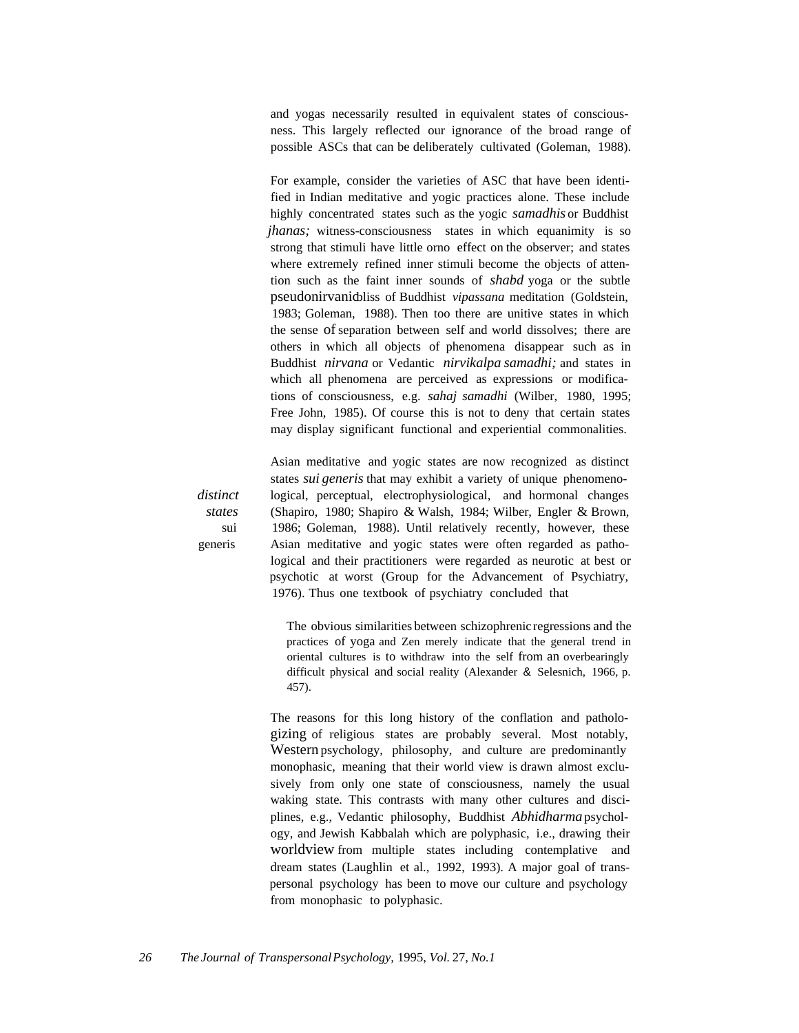and yogas necessarily resulted in equivalent states of consciousness. This largely reflected our ignorance of the broad range of possible ASCs that can be deliberately cultivated (Goleman, 1988).

For example, consider the varieties of ASC that have been identified in Indian meditative and yogic practices alone. These include highly concentrated states such as the yogic *samadhis* or Buddhist *jhanas*; witness-consciousness states in which equanimity is so strong that stimuli have little orno effect on the observer; and states where extremely refined inner stimuli become the objects of attention such as the faint inner sounds of *shabd* yoga or the subtle pseudonirvanicbliss of Buddhist *vipassana* meditation (Goldstein, 1983; Goleman, 1988). Then too there are unitive states in which the sense of separation between self and world dissolves; there are others in which all objects of phenomena disappear such as in Buddhist *nirvana* or Vedantic *nirvikalpa samadhi;* and states in which all phenomena are perceived as expressions or modifications of consciousness, e.g. *sahaj samadhi* (Wilber, 1980, 1995; Free John, 1985). Of course this is not to deny that certain states may display significant functional and experiential commonalities.

*distinct states* sui generis

Asian meditative and yogic states are now recognized as distinct states *sui generis* that may exhibit a variety of unique phenomenological, perceptual, electrophysiological, and hormonal changes (Shapiro, 1980; Shapiro & Walsh, 1984; Wilber, Engler & Brown, 1986; Goleman, 1988). Until relatively recently, however, these Asian meditative and yogic states were often regarded as pathological and their practitioners were regarded as neurotic at best or psychotic at worst (Group for the Advancement of Psychiatry, 1976). Thus one textbook of psychiatry concluded that

The obvious similarities between schizophrenic regressions and the practices of yoga and Zen merely indicate that the general trend in oriental cultures is to withdraw into the self from an overbearingly difficult physical and social reality (Alexander & Selesnich, 1966, p. 457).

The reasons for this long history of the conflation and pathologizing of religious states are probably several. Most notably, Western psychology, philosophy, and culture are predominantly monophasic, meaning that their world view is drawn almost exclusively from only one state of consciousness, namely the usual waking state. This contrasts with many other cultures and disciplines, e.g., Vedantic philosophy, Buddhist *Abhidharma* psychology, and Jewish Kabbalah which are polyphasic, i.e., drawing their worldview from multiple states including contemplative and dream states (Laughlin et al., 1992, 1993). A major goal of transpersonal psychology has been to move our culture and psychology from monophasic to polyphasic.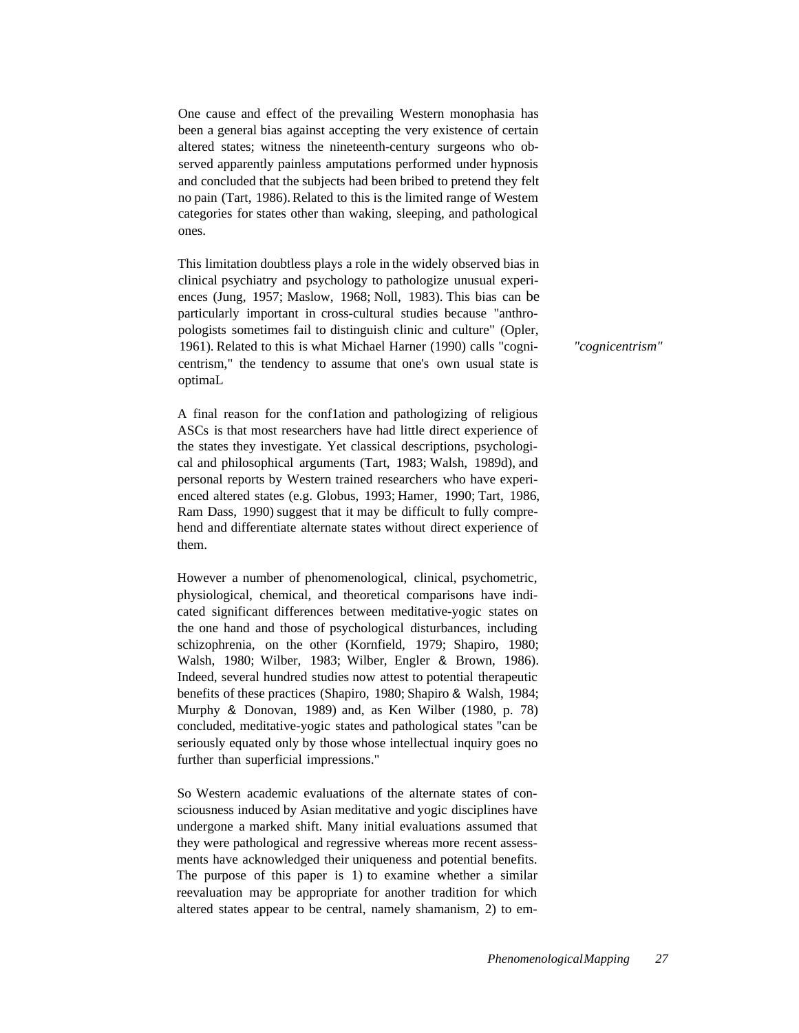One cause and effect of the prevailing Western monophasia has been a general bias against accepting the very existence of certain altered states; witness the nineteenth-century surgeons who observed apparently painless amputations performed under hypnosis and concluded that the subjects had been bribed to pretend they felt no pain (Tart, 1986). Related to this is the limited range of Westem categories for states other than waking, sleeping, and pathological ones.

This limitation doubtless plays a role in the widely observed bias in clinical psychiatry and psychology to pathologize unusual experiences (Jung, 1957; Maslow, 1968; Noll, 1983). This bias can be particularly important in cross-cultural studies because "anthropologists sometimes fail to distinguish clinic and culture" (Opler, 1961). Related to this is what Michael Harner (1990) calls "cognicentrism," the tendency to assume that one's own usual state is optimaL

A final reason for the conf1ation and pathologizing of religious ASCs is that most researchers have had little direct experience of the states they investigate. Yet classical descriptions, psychological and philosophical arguments (Tart, 1983; Walsh, 1989d), and personal reports by Western trained researchers who have experienced altered states (e.g. Globus, 1993; Hamer, 1990; Tart, 1986, Ram Dass, 1990) suggest that it may be difficult to fully comprehend and differentiate alternate states without direct experience of them.

However a number of phenomenological, clinical, psychometric, physiological, chemical, and theoretical comparisons have indicated significant differences between meditative-yogic states on the one hand and those of psychological disturbances, including schizophrenia, on the other (Kornfield, 1979; Shapiro, 1980; Walsh, 1980; Wilber, 1983; Wilber, Engler & Brown, 1986). Indeed, several hundred studies now attest to potential therapeutic benefits of these practices (Shapiro, 1980; Shapiro & Walsh, 1984; Murphy & Donovan, 1989) and, as Ken Wilber (1980, p. 78) concluded, meditative-yogic states and pathological states "can be seriously equated only by those whose intellectual inquiry goes no further than superficial impressions."

So Western academic evaluations of the alternate states of consciousness induced by Asian meditative and yogic disciplines have undergone a marked shift. Many initial evaluations assumed that they were pathological and regressive whereas more recent assessments have acknowledged their uniqueness and potential benefits. The purpose of this paper is 1) to examine whether a similar reevaluation may be appropriate for another tradition for which altered states appear to be central, namely shamanism, 2) to em*"cognicentrism"*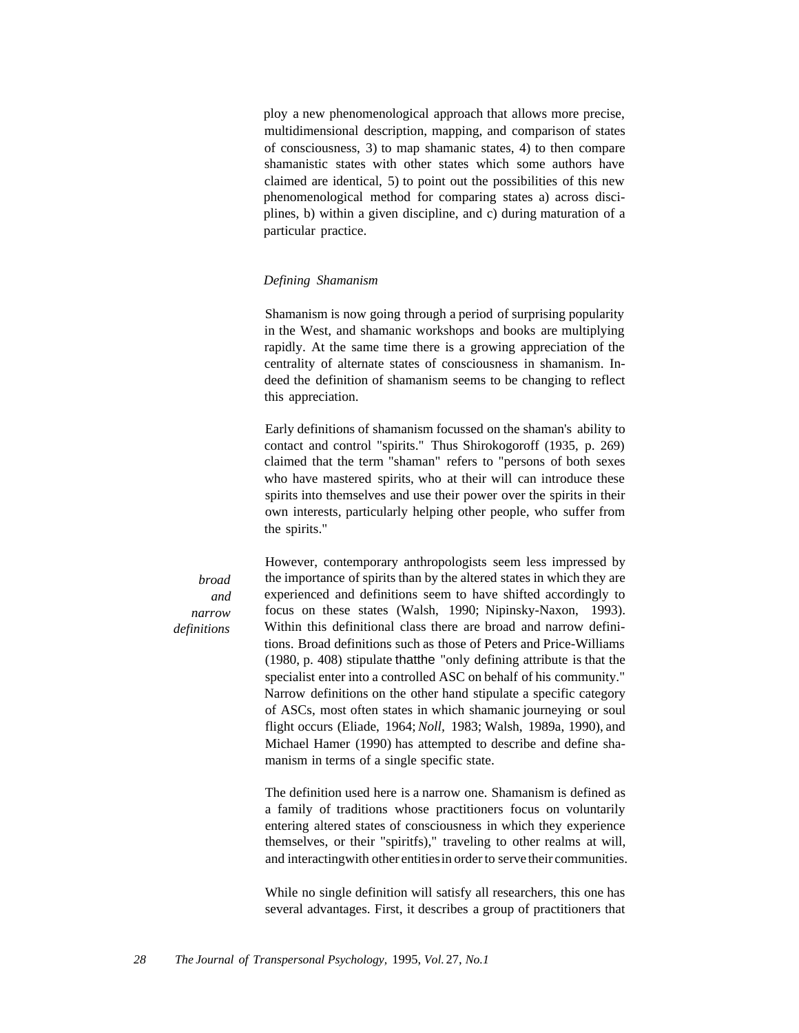ploy a new phenomenological approach that allows more precise, multidimensional description, mapping, and comparison of states of consciousness, 3) to map shamanic states, 4) to then compare shamanistic states with other states which some authors have claimed are identical, 5) to point out the possibilities of this new phenomenological method for comparing states a) across disciplines, b) within a given discipline, and c) during maturation of a particular practice.

## *Defining Shamanism*

Shamanism is now going through a period of surprising popularity in the West, and shamanic workshops and books are multiplying rapidly. At the same time there is a growing appreciation of the centrality of alternate states of consciousness in shamanism. Indeed the definition of shamanism seems to be changing to reflect this appreciation.

Early definitions of shamanism focussed on the shaman's ability to contact and control "spirits." Thus Shirokogoroff (1935, p. 269) claimed that the term "shaman" refers to "persons of both sexes who have mastered spirits, who at their will can introduce these spirits into themselves and use their power over the spirits in their own interests, particularly helping other people, who suffer from the spirits."

*broad and narrow definitions*

However, contemporary anthropologists seem less impressed by the importance of spirits than by the altered states in which they are experienced and definitions seem to have shifted accordingly to focus on these states (Walsh, 1990; Nipinsky-Naxon, 1993). Within this definitional class there are broad and narrow definitions. Broad definitions such as those of Peters and Price-Williams (1980, p. 408) stipulate thatthe "only defining attribute is that the specialist enter into a controlled ASC on behalf of his community." Narrow definitions on the other hand stipulate a specific category of ASCs, most often states in which shamanic journeying or soul flight occurs (Eliade, 1964; *Noll,* 1983; Walsh, 1989a, 1990), and Michael Hamer (1990) has attempted to describe and define shamanism in terms of a single specific state.

The definition used here is a narrow one. Shamanism is defined as a family of traditions whose practitioners focus on voluntarily entering altered states of consciousness in which they experience themselves, or their "spiritfs)," traveling to other realms at will, and interactingwith other entitiesin order to serve their communities.

While no single definition will satisfy all researchers, this one has several advantages. First, it describes a group of practitioners that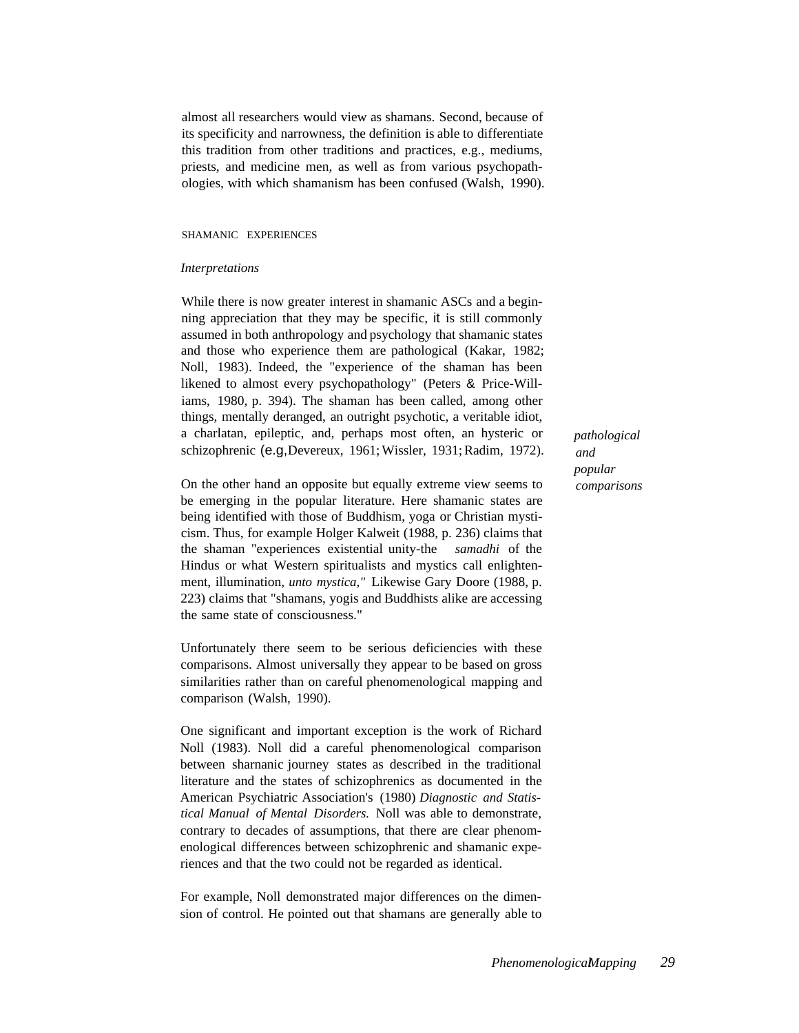almost all researchers would view as shamans. Second, because of its specificity and narrowness, the definition is able to differentiate this tradition from other traditions and practices, e.g., mediums, priests, and medicine men, as well as from various psychopathologies, with which shamanism has been confused (Walsh, 1990).

## SHAMANIC EXPERIENCES

#### *Interpretations*

While there is now greater interest in shamanic ASCs and a beginning appreciation that they may be specific, it is still commonly assumed in both anthropology and psychology that shamanic states and those who experience them are pathological (Kakar, 1982; Noll, 1983). Indeed, the "experience of the shaman has been likened to almost every psychopathology" (Peters & Price-Williams, 1980, p. 394). The shaman has been called, among other things, mentally deranged, an outright psychotic, a veritable idiot, a charlatan, epileptic, and, perhaps most often, an hysteric or schizophrenic (e.g,Devereux, 1961; Wissler, 1931; Radim, 1972).

On the other hand an opposite but equally extreme view seems to be emerging in the popular literature. Here shamanic states are being identified with those of Buddhism, yoga or Christian mysticism. Thus, for example Holger Kalweit (1988, p. 236) claims that the shaman "experiences existential unity-the *samadhi* of the Hindus or what Western spiritualists and mystics call enlightenment, illumination, *unto mystica,"* Likewise Gary Doore (1988, p. 223) claims that "shamans, yogis and Buddhists alike are accessing the same state of consciousness."

Unfortunately there seem to be serious deficiencies with these comparisons. Almost universally they appear to be based on gross similarities rather than on careful phenomenological mapping and comparison (Walsh, 1990).

One significant and important exception is the work of Richard Noll (1983). Noll did a careful phenomenological comparison between sharnanic journey states as described in the traditional literature and the states of schizophrenics as documented in the American Psychiatric Association's (1980) *Diagnostic and Statistical Manual of Mental Disorders.* Noll was able to demonstrate, contrary to decades of assumptions, that there are clear phenomenological differences between schizophrenic and shamanic experiences and that the two could not be regarded as identical.

For example, Noll demonstrated major differences on the dimension of control. He pointed out that shamans are generally able to *pathological and popular comparisons*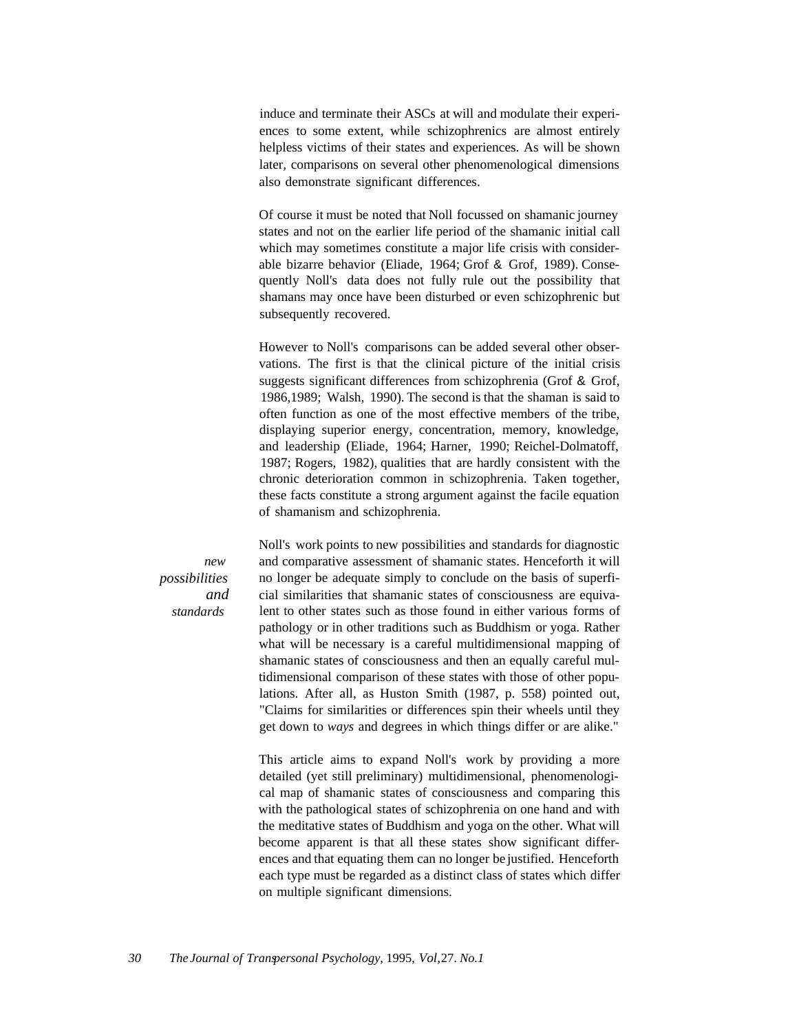induce and terminate their ASCs at will and modulate their experiences to some extent, while schizophrenics are almost entirely helpless victims of their states and experiences. As will be shown later, comparisons on several other phenomenological dimensions also demonstrate significant differences.

Of course it must be noted that Noll focussed on shamanic journey states and not on the earlier life period of the shamanic initial call which may sometimes constitute a major life crisis with considerable bizarre behavior (Eliade, 1964; Grof & Grof, 1989). Consequently Noll's data does not fully rule out the possibility that shamans may once have been disturbed or even schizophrenic but subsequently recovered.

However to Noll's comparisons can be added several other observations. The first is that the clinical picture of the initial crisis suggests significant differences from schizophrenia (Grof & Grof, 1986,1989; Walsh, 1990). The second is that the shaman is said to often function as one of the most effective members of the tribe, displaying superior energy, concentration, memory, knowledge, and leadership (Eliade, 1964; Harner, 1990; Reichel-Dolmatoff, 1987; Rogers, 1982), qualities that are hardly consistent with the chronic deterioration common in schizophrenia. Taken together, these facts constitute a strong argument against the facile equation of shamanism and schizophrenia.

*new possibilities and standards*

Noll's work points to new possibilities and standards for diagnostic and comparative assessment of shamanic states. Henceforth it will no longer be adequate simply to conclude on the basis of superficial similarities that shamanic states of consciousness are equivalent to other states such as those found in either various forms of pathology or in other traditions such as Buddhism or yoga. Rather what will be necessary is a careful multidimensional mapping of shamanic states of consciousness and then an equally careful multidimensional comparison of these states with those of other populations. After all, as Huston Smith (1987, p. 558) pointed out, "Claims for similarities or differences spin their wheels until they get down to *ways* and degrees in which things differ or are alike."

This article aims to expand Noll's work by providing a more detailed (yet still preliminary) multidimensional, phenomenological map of shamanic states of consciousness and comparing this with the pathological states of schizophrenia on one hand and with the meditative states of Buddhism and yoga on the other. What will become apparent is that all these states show significant differences and that equating them can no longer be justified. Henceforth each type must be regarded as a distinct class of states which differ on multiple significant dimensions.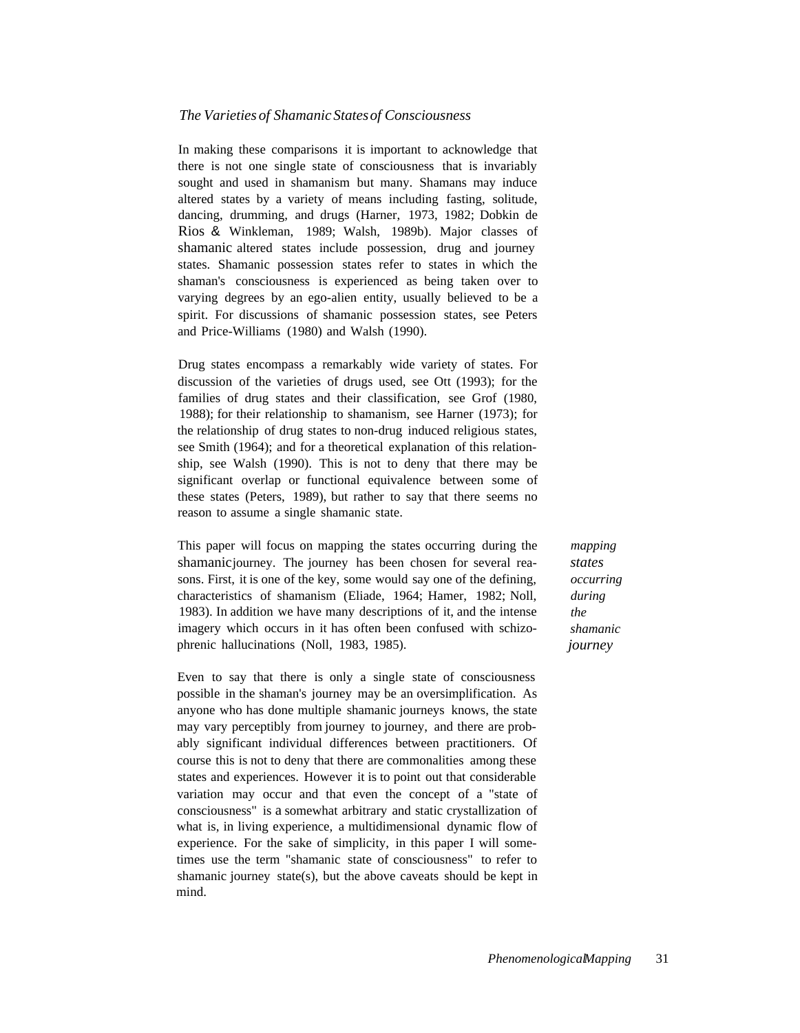# *The Varieties of Shamanic Statesof Consciousness*

In making these comparisons it is important to acknowledge that there is not one single state of consciousness that is invariably sought and used in shamanism but many. Shamans may induce altered states by a variety of means including fasting, solitude, dancing, drumming, and drugs (Harner, 1973, 1982; Dobkin de Rios & Winkleman, 1989; Walsh, 1989b). Major classes of shamanic altered states include possession, drug and journey states. Shamanic possession states refer to states in which the shaman's consciousness is experienced as being taken over to varying degrees by an ego-alien entity, usually believed to be a spirit. For discussions of shamanic possession states, see Peters and Price-Williams (1980) and Walsh (1990).

Drug states encompass a remarkably wide variety of states. For discussion of the varieties of drugs used, see Ott (1993); for the families of drug states and their classification, see Grof (1980, 1988); for their relationship to shamanism, see Harner (1973); for the relationship of drug states to non-drug induced religious states, see Smith (1964); and for a theoretical explanation of this relationship, see Walsh (1990). This is not to deny that there may be significant overlap or functional equivalence between some of these states (Peters, 1989), but rather to say that there seems no reason to assume a single shamanic state.

This paper will focus on mapping the states occurring during the shamanicjourney. The journey has been chosen for several reasons. First, it is one of the key, some would say one of the defining, characteristics of shamanism (Eliade, 1964; Hamer, 1982; Noll, 1983). In addition we have many descriptions of it, and the intense imagery which occurs in it has often been confused with schizophrenic hallucinations (Noll, 1983, 1985).

Even to say that there is only a single state of consciousness possible in the shaman's journey may be an oversimplification. As anyone who has done multiple shamanic journeys knows, the state may vary perceptibly from journey to journey, and there are probably significant individual differences between practitioners. Of course this is not to deny that there are commonalities among these states and experiences. However it is to point out that considerable variation may occur and that even the concept of a "state of consciousness" is a somewhat arbitrary and static crystallization of what is, in living experience, a multidimensional dynamic flow of experience. For the sake of simplicity, in this paper I will sometimes use the term "shamanic state of consciousness" to refer to shamanic journey state(s), but the above caveats should be kept in mind.

*mapping states occurring during the shamanic journey*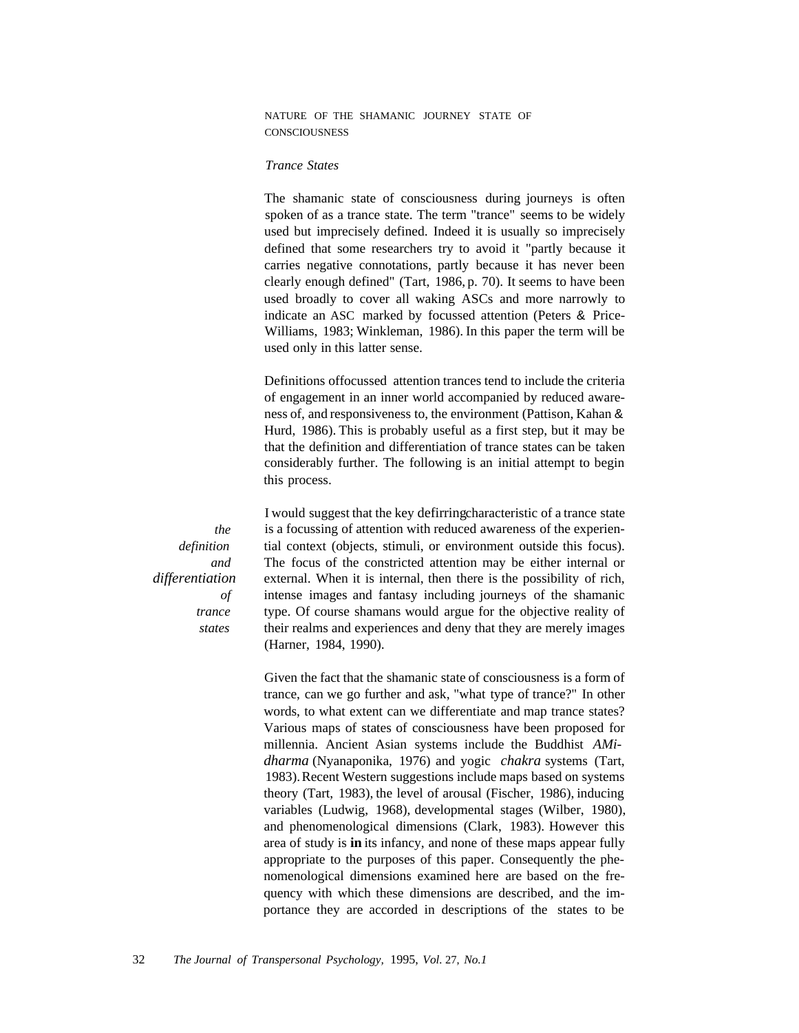NATURE OF THE SHAMANIC JOURNEY STATE OF **CONSCIOUSNESS** 

### *Trance States*

The shamanic state of consciousness during journeys is often spoken of as a trance state. The term "trance" seems to be widely used but imprecisely defined. Indeed it is usually so imprecisely defined that some researchers try to avoid it "partly because it carries negative connotations, partly because it has never been clearly enough defined" (Tart, 1986, p. 70). It seems to have been used broadly to cover all waking ASCs and more narrowly to indicate an ASC marked by focussed attention (Peters & Price-Williams, 1983; Winkleman, 1986). In this paper the term will be used only in this latter sense.

Definitions offocussed attention trances tend to include the criteria of engagement in an inner world accompanied by reduced awareness of, and responsiveness to, the environment (Pattison, Kahan & Hurd, 1986). This is probably useful as a first step, but it may be that the definition and differentiation of trance states can be taken considerably further. The following is an initial attempt to begin this process.

I would suggest that the key defirringcharacteristic of a trance state is a focussing of attention with reduced awareness of the experiential context (objects, stimuli, or environment outside this focus). The focus of the constricted attention may be either internal or external. When it is internal, then there is the possibility of rich, intense images and fantasy including journeys of the shamanic type. Of course shamans would argue for the objective reality of their realms and experiences and deny that they are merely images (Harner, 1984, 1990).

Given the fact that the shamanic state of consciousness is a form of trance, can we go further and ask, "what type of trance?" In other words, to what extent can we differentiate and map trance states? Various maps of states of consciousness have been proposed for millennia. Ancient Asian systems include the Buddhist *AMidharma* (Nyanaponika, 1976) and yogic *chakra* systems (Tart, 1983). Recent Western suggestions include maps based on systems theory (Tart, 1983), the level of arousal (Fischer, 1986), inducing variables (Ludwig, 1968), developmental stages (Wilber, 1980), and phenomenological dimensions (Clark, 1983). However this area of study is **in** its infancy, and none of these maps appear fully appropriate to the purposes of this paper. Consequently the phenomenological dimensions examined here are based on the frequency with which these dimensions are described, and the importance they are accorded in descriptions of the states to be

*the definition and differentiation of trance states*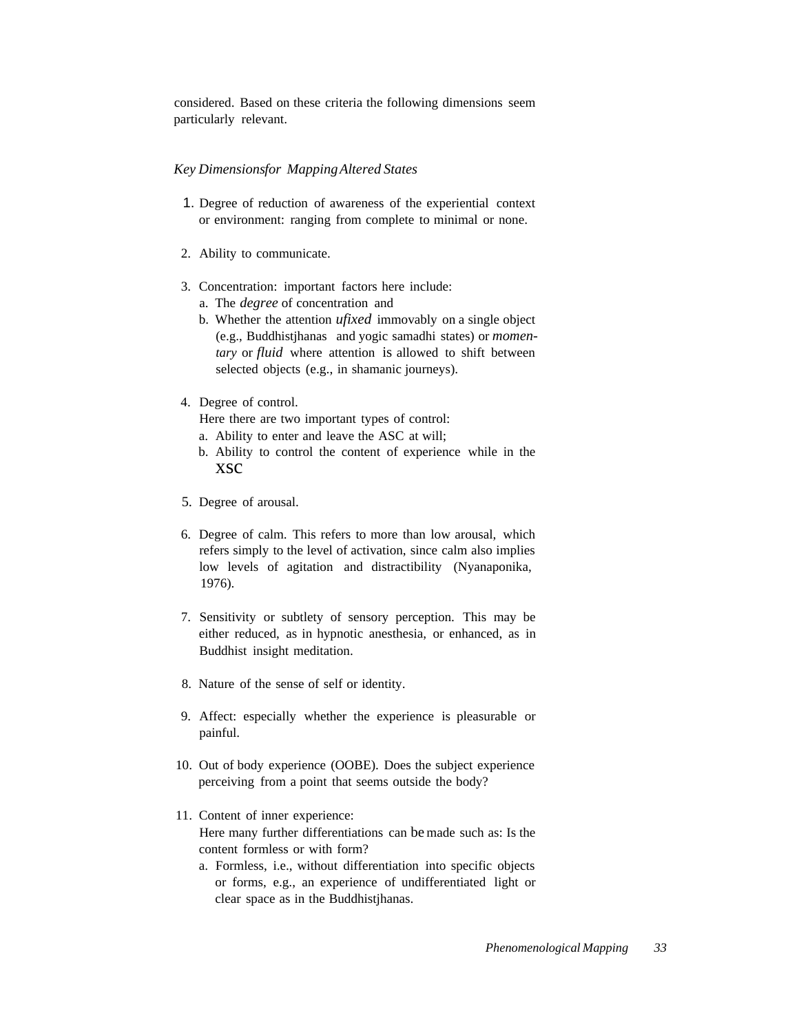considered. Based on these criteria the following dimensions seem particularly relevant.

## *Key Dimensionsfor MappingAltered States*

- 1. Degree of reduction of awareness of the experiential context or environment: ranging from complete to minimal or none.
- 2. Ability to communicate.
- 3. Concentration: important factors here include:
	- a. The *degree* of concentration and
	- b. Whether the attention *ufixed* immovably on a single object (e.g., Buddhistjhanas and yogic samadhi states) or *momentary* or *fluid* where attention is allowed to shift between selected objects (e.g., in shamanic journeys).
- 4. Degree of control.

Here there are two important types of control:

- a. Ability to enter and leave the ASC at will;
- b. Ability to control the content of experience while in the xsc
- 5. Degree of arousal.
- 6. Degree of calm. This refers to more than low arousal, which refers simply to the level of activation, since calm also implies low levels of agitation and distractibility (Nyanaponika, 1976).
- 7. Sensitivity or subtlety of sensory perception. This may be either reduced, as in hypnotic anesthesia, or enhanced, as in Buddhist insight meditation.
- 8. Nature of the sense of self or identity.
- 9. Affect: especially whether the experience is pleasurable or painful.
- 10. Out of body experience (OOBE). Does the subject experience perceiving from a point that seems outside the body?
- 11. Content of inner experience: Here many further differentiations can be made such as: Is the content formless or with form?
	- a. Formless, i.e., without differentiation into specific objects or forms, e.g., an experience of undifferentiated light or clear space as in the Buddhistjhanas.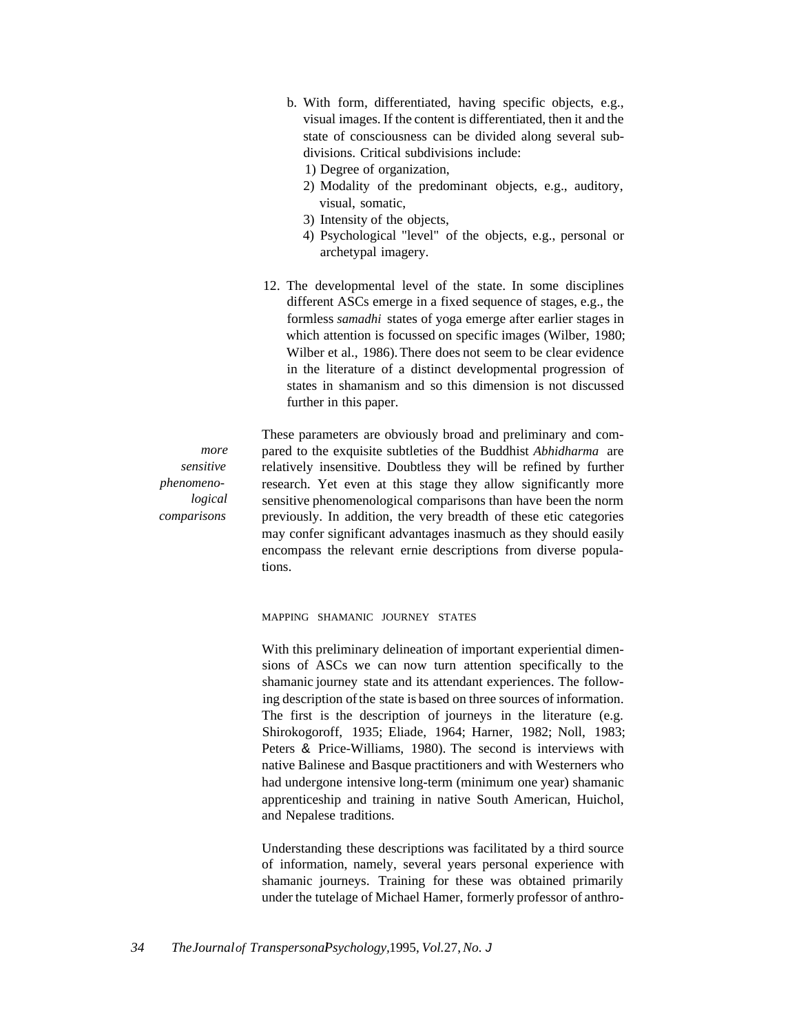- b. With form, differentiated, having specific objects, e.g., visual images. If the content is differentiated, then it and the state of consciousness can be divided along several subdivisions. Critical subdivisions include:
	- 1) Degree of organization,
	- 2) Modality of the predominant objects, e.g., auditory, visual, somatic,
	- 3) Intensity of the objects,
	- 4) Psychological "level" of the objects, e.g., personal or archetypal imagery.
- 12. The developmental level of the state. In some disciplines different ASCs emerge in a fixed sequence of stages, e.g., the formless *samadhi* states of yoga emerge after earlier stages in which attention is focussed on specific images (Wilber, 1980; Wilber et al., 1986). There does not seem to be clear evidence in the literature of a distinct developmental progression of states in shamanism and so this dimension is not discussed further in this paper.

These parameters are obviously broad and preliminary and compared to the exquisite subtleties of the Buddhist *Abhidharma* are relatively insensitive. Doubtless they will be refined by further research. Yet even at this stage they allow significantly more sensitive phenomenological comparisons than have been the norm previously. In addition, the very breadth of these etic categories may confer significant advantages inasmuch as they should easily encompass the relevant ernie descriptions from diverse populations.

MAPPING SHAMANIC JOURNEY STATES

With this preliminary delineation of important experiential dimensions of ASCs we can now turn attention specifically to the shamanic journey state and its attendant experiences. The following description of the state is based on three sources of information. The first is the description of journeys in the literature (e.g. Shirokogoroff, 1935; Eliade, 1964; Harner, 1982; Noll, 1983; Peters & Price-Williams, 1980). The second is interviews with native Balinese and Basque practitioners and with Westerners who had undergone intensive long-term (minimum one year) shamanic apprenticeship and training in native South American, Huichol, and Nepalese traditions.

Understanding these descriptions was facilitated by a third source of information, namely, several years personal experience with shamanic journeys. Training for these was obtained primarily under the tutelage of Michael Hamer, formerly professor of anthro-

*more sensitive phenomenological comparisons*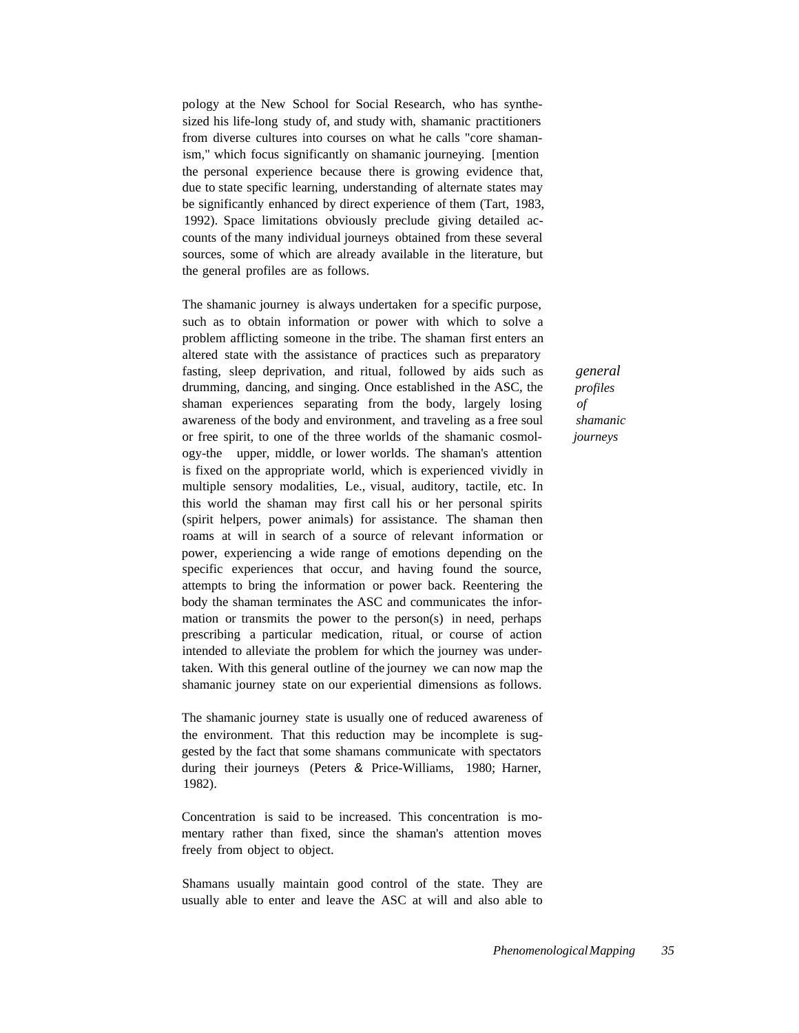pology at the New School for Social Research, who has synthesized his life-long study of, and study with, shamanic practitioners from diverse cultures into courses on what he calls "core shamanism," which focus significantly on shamanic journeying. [mention the personal experience because there is growing evidence that, due to state specific learning, understanding of alternate states may be significantly enhanced by direct experience of them (Tart, 1983, 1992). Space limitations obviously preclude giving detailed accounts of the many individual journeys obtained from these several sources, some of which are already available in the literature, but the general profiles are as follows.

The shamanic journey is always undertaken for a specific purpose, such as to obtain information or power with which to solve a problem afflicting someone in the tribe. The shaman first enters an altered state with the assistance of practices such as preparatory fasting, sleep deprivation, and ritual, followed by aids such as drumming, dancing, and singing. Once established in the ASC, the shaman experiences separating from the body, largely losing awareness of the body and environment, and traveling as a free soul or free spirit, to one of the three worlds of the shamanic cosmology-the upper, middle, or lower worlds. The shaman's attention is fixed on the appropriate world, which is experienced vividly in multiple sensory modalities, Le., visual, auditory, tactile, etc. In this world the shaman may first call his or her personal spirits (spirit helpers, power animals) for assistance. The shaman then roams at will in search of a source of relevant information or power, experiencing a wide range of emotions depending on the specific experiences that occur, and having found the source, attempts to bring the information or power back. Reentering the body the shaman terminates the ASC and communicates the information or transmits the power to the person(s) in need, perhaps prescribing a particular medication, ritual, or course of action intended to alleviate the problem for which the journey was undertaken. With this general outline of the journey we can now map the shamanic journey state on our experiential dimensions as follows.

The shamanic journey state is usually one of reduced awareness of the environment. That this reduction may be incomplete is suggested by the fact that some shamans communicate with spectators during their journeys (Peters & Price-Williams, 1980; Harner, 1982).

Concentration is said to be increased. This concentration is momentary rather than fixed, since the shaman's attention moves freely from object to object.

Shamans usually maintain good control of the state. They are usually able to enter and leave the ASC at will and also able to

*general profiles of shamanic journeys*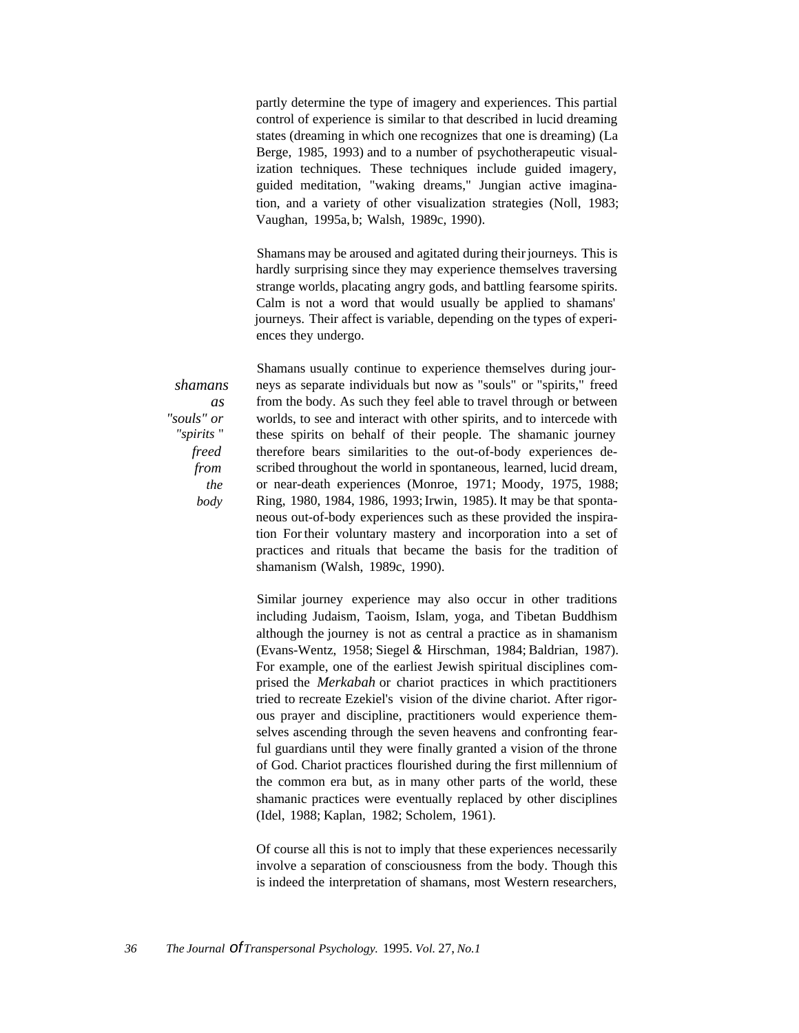partly determine the type of imagery and experiences. This partial control of experience is similar to that described in lucid dreaming states (dreaming in which one recognizes that one is dreaming) (La Berge, 1985, 1993) and to a number of psychotherapeutic visualization techniques. These techniques include guided imagery, guided meditation, "waking dreams," Jungian active imagination, and a variety of other visualization strategies (Noll, 1983; Vaughan, 1995a, b; Walsh, 1989c, 1990).

Shamans may be aroused and agitated during their journeys. This is hardly surprising since they may experience themselves traversing strange worlds, placating angry gods, and battling fearsome spirits. Calm is not a word that would usually be applied to shamans' journeys. Their affect is variable, depending on the types of experiences they undergo.

*shamans as "souls" or "spirits* " *freed from the body*

Shamans usually continue to experience themselves during journeys as separate individuals but now as "souls" or "spirits," freed from the body. As such they feel able to travel through or between worlds, to see and interact with other spirits, and to intercede with these spirits on behalf of their people. The shamanic journey therefore bears similarities to the out-of-body experiences described throughout the world in spontaneous, learned, lucid dream, or near-death experiences (Monroe, 1971; Moody, 1975, 1988; Ring, 1980, 1984, 1986, 1993; Irwin, 1985). It may be that spontaneous out-of-body experiences such as these provided the inspiration For their voluntary mastery and incorporation into a set of practices and rituals that became the basis for the tradition of shamanism (Walsh, 1989c, 1990).

Similar journey experience may also occur in other traditions including Judaism, Taoism, Islam, yoga, and Tibetan Buddhism although the journey is not as central a practice as in shamanism (Evans-Wentz, 1958; Siegel & Hirschman, 1984; Baldrian, 1987). For example, one of the earliest Jewish spiritual disciplines comprised the *Merkabah* or chariot practices in which practitioners tried to recreate Ezekiel's vision of the divine chariot. After rigorous prayer and discipline, practitioners would experience themselves ascending through the seven heavens and confronting fearful guardians until they were finally granted a vision of the throne of God. Chariot practices flourished during the first millennium of the common era but, as in many other parts of the world, these shamanic practices were eventually replaced by other disciplines (Idel, 1988; Kaplan, 1982; Scholem, 1961).

Of course all this is not to imply that these experiences necessarily involve a separation of consciousness from the body. Though this is indeed the interpretation of shamans, most Western researchers,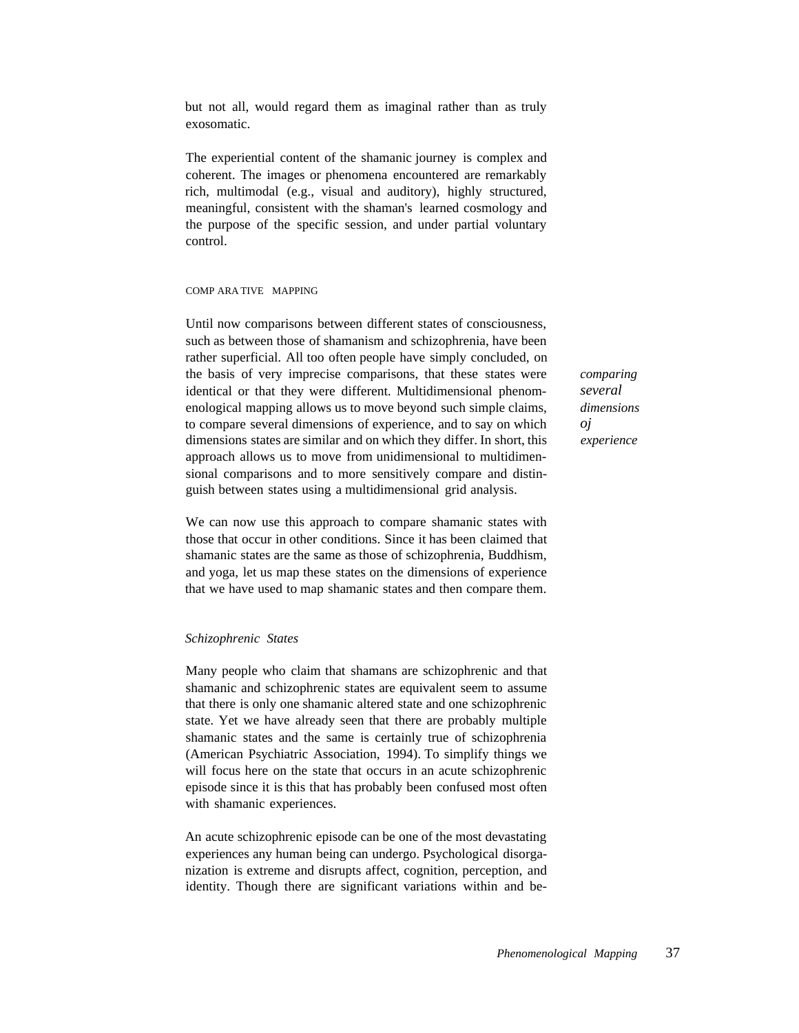but not all, would regard them as imaginal rather than as truly exosomatic.

The experiential content of the shamanic journey is complex and coherent. The images or phenomena encountered are remarkably rich, multimodal (e.g., visual and auditory), highly structured, meaningful, consistent with the shaman's learned cosmology and the purpose of the specific session, and under partial voluntary control.

#### COMP ARA TIVE MAPPING

Until now comparisons between different states of consciousness, such as between those of shamanism and schizophrenia, have been rather superficial. All too often people have simply concluded, on the basis of very imprecise comparisons, that these states were identical or that they were different. Multidimensional phenomenological mapping allows us to move beyond such simple claims, to compare several dimensions of experience, and to say on which dimensions states are similar and on which they differ. In short, this approach allows us to move from unidimensional to multidimensional comparisons and to more sensitively compare and distinguish between states using a multidimensional grid analysis.

We can now use this approach to compare shamanic states with those that occur in other conditions. Since it has been claimed that shamanic states are the same as those of schizophrenia, Buddhism, and yoga, let us map these states on the dimensions of experience that we have used to map shamanic states and then compare them.

# *Schizophrenic States*

Many people who claim that shamans are schizophrenic and that shamanic and schizophrenic states are equivalent seem to assume that there is only one shamanic altered state and one schizophrenic state. Yet we have already seen that there are probably multiple shamanic states and the same is certainly true of schizophrenia (American Psychiatric Association, 1994). To simplify things we will focus here on the state that occurs in an acute schizophrenic episode since it is this that has probably been confused most often with shamanic experiences.

An acute schizophrenic episode can be one of the most devastating experiences any human being can undergo. Psychological disorganization is extreme and disrupts affect, cognition, perception, and identity. Though there are significant variations within and be*comparing several dimensions oj experience*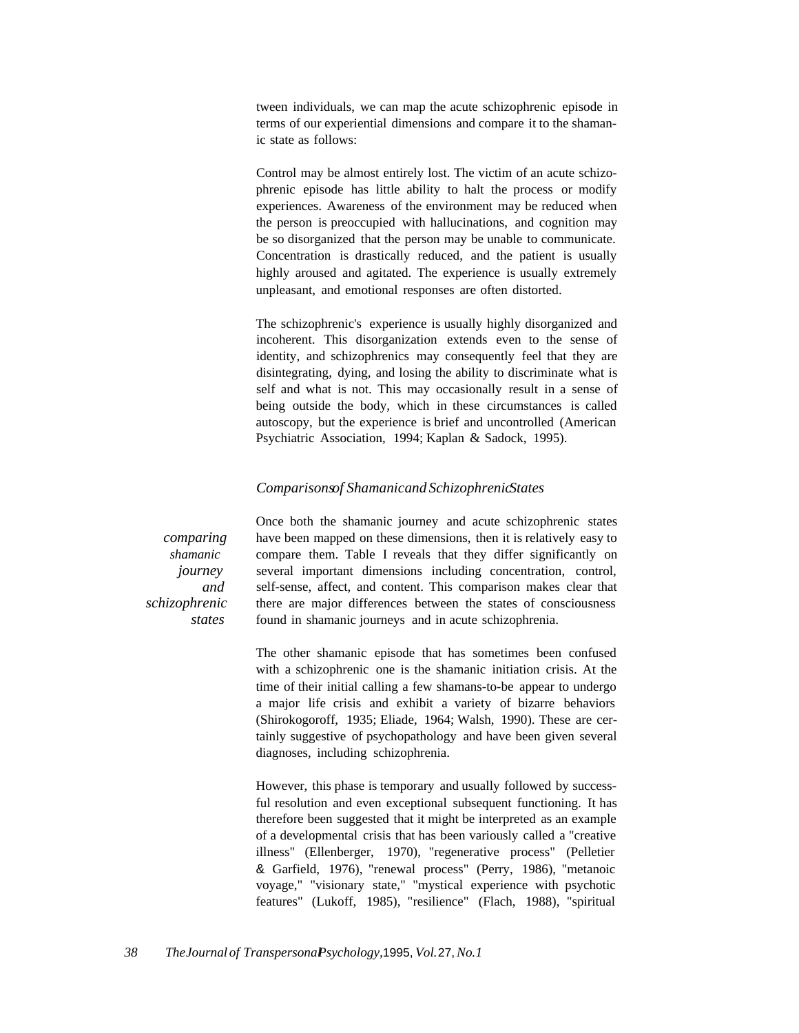tween individuals, we can map the acute schizophrenic episode in terms of our experiential dimensions and compare it to the shamanic state as follows:

Control may be almost entirely lost. The victim of an acute schizophrenic episode has little ability to halt the process or modify experiences. Awareness of the environment may be reduced when the person is preoccupied with hallucinations, and cognition may be so disorganized that the person may be unable to communicate. Concentration is drastically reduced, and the patient is usually highly aroused and agitated. The experience is usually extremely unpleasant, and emotional responses are often distorted.

The schizophrenic's experience is usually highly disorganized and incoherent. This disorganization extends even to the sense of identity, and schizophrenics may consequently feel that they are disintegrating, dying, and losing the ability to discriminate what is self and what is not. This may occasionally result in a sense of being outside the body, which in these circumstances is called autoscopy, but the experience is brief and uncontrolled (American Psychiatric Association, 1994; Kaplan & Sadock, 1995).

# *Comparisonsof Shamanicand SchizophrenicStates*

*comparing shamanic journey and schizophrenic states*

Once both the shamanic journey and acute schizophrenic states have been mapped on these dimensions, then it is relatively easy to compare them. Table I reveals that they differ significantly on several important dimensions including concentration, control, self-sense, affect, and content. This comparison makes clear that there are major differences between the states of consciousness found in shamanic journeys and in acute schizophrenia.

The other shamanic episode that has sometimes been confused with a schizophrenic one is the shamanic initiation crisis. At the time of their initial calling a few shamans-to-be appear to undergo a major life crisis and exhibit a variety of bizarre behaviors (Shirokogoroff, 1935; Eliade, 1964; Walsh, 1990). These are certainly suggestive of psychopathology and have been given several diagnoses, including schizophrenia.

However, this phase is temporary and usually followed by successful resolution and even exceptional subsequent functioning. It has therefore been suggested that it might be interpreted as an example of a developmental crisis that has been variously called a "creative illness" (Ellenberger, 1970), "regenerative process" (Pelletier & Garfield, 1976), "renewal process" (Perry, 1986), "metanoic voyage," "visionary state," "mystical experience with psychotic features" (Lukoff, 1985), "resilience" (Flach, 1988), "spiritual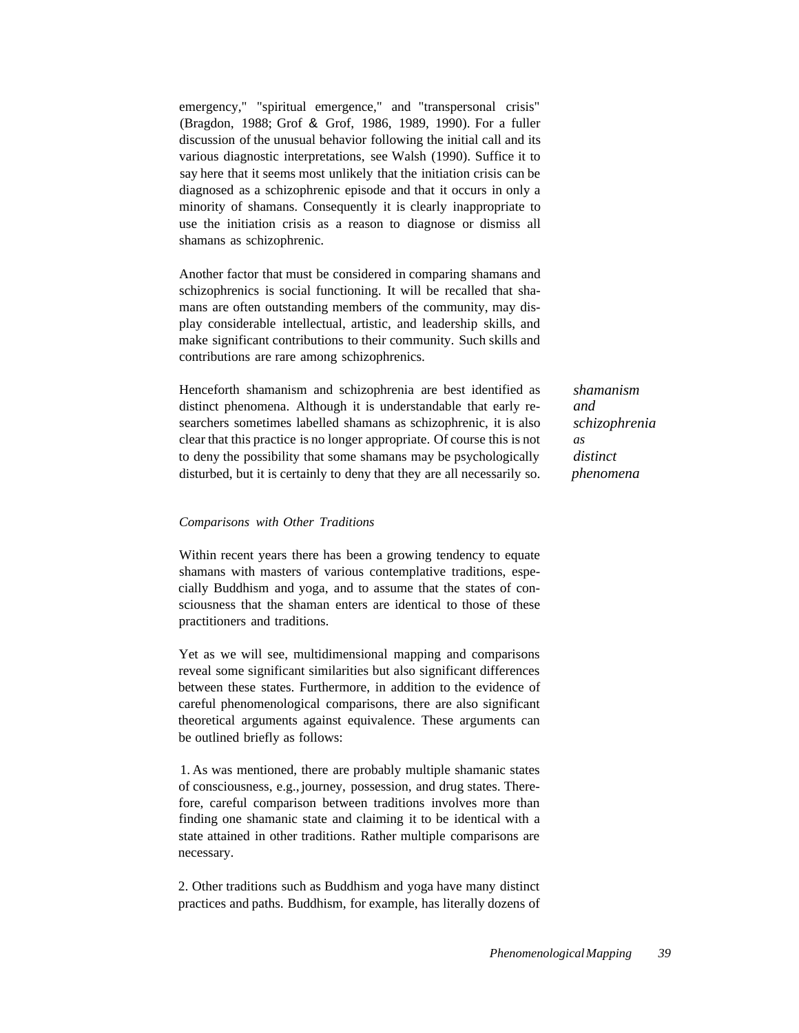emergency," "spiritual emergence," and "transpersonal crisis" (Bragdon, 1988; Grof & Grof, 1986, 1989, 1990). For a fuller discussion of the unusual behavior following the initial call and its various diagnostic interpretations, see Walsh (1990). Suffice it to say here that it seems most unlikely that the initiation crisis can be diagnosed as a schizophrenic episode and that it occurs in only a minority of shamans. Consequently it is clearly inappropriate to use the initiation crisis as a reason to diagnose or dismiss all shamans as schizophrenic.

Another factor that must be considered in comparing shamans and schizophrenics is social functioning. It will be recalled that shamans are often outstanding members of the community, may display considerable intellectual, artistic, and leadership skills, and make significant contributions to their community. Such skills and contributions are rare among schizophrenics.

Henceforth shamanism and schizophrenia are best identified as distinct phenomena. Although it is understandable that early researchers sometimes labelled shamans as schizophrenic, it is also clear that this practice is no longer appropriate. Of course this is not to deny the possibility that some shamans may be psychologically disturbed, but it is certainly to deny that they are all necessarily so.

*shamanism and schizophrenia as distinct phenomena*

# *Comparisons with Other Traditions*

Within recent years there has been a growing tendency to equate shamans with masters of various contemplative traditions, especially Buddhism and yoga, and to assume that the states of consciousness that the shaman enters are identical to those of these practitioners and traditions.

Yet as we will see, multidimensional mapping and comparisons reveal some significant similarities but also significant differences between these states. Furthermore, in addition to the evidence of careful phenomenological comparisons, there are also significant theoretical arguments against equivalence. These arguments can be outlined briefly as follows:

1. As was mentioned, there are probably multiple shamanic states of consciousness, e.g., journey, possession, and drug states. Therefore, careful comparison between traditions involves more than finding one shamanic state and claiming it to be identical with a state attained in other traditions. Rather multiple comparisons are necessary.

2. Other traditions such as Buddhism and yoga have many distinct practices and paths. Buddhism, for example, has literally dozens of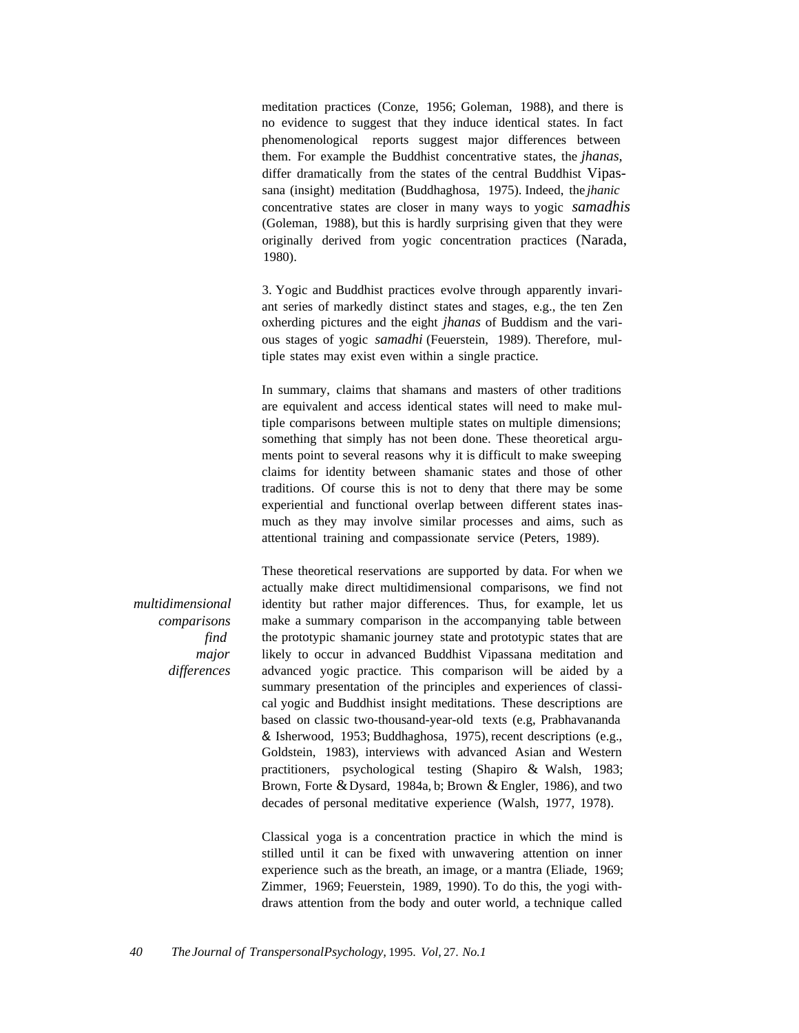meditation practices (Conze, 1956; Goleman, 1988), and there is no evidence to suggest that they induce identical states. In fact phenomenological reports suggest major differences between them. For example the Buddhist concentrative states, the *jhanas,* differ dramatically from the states of the central Buddhist Vipassana (insight) meditation (Buddhaghosa, 1975). Indeed, the *jhanic* concentrative states are closer in many ways to yogic *samadhis* (Goleman, 1988), but this is hardly surprising given that they were originally derived from yogic concentration practices (Narada, 1980).

3. Yogic and Buddhist practices evolve through apparently invariant series of markedly distinct states and stages, e.g., the ten Zen oxherding pictures and the eight *jhanas* of Buddism and the various stages of yogic *samadhi* (Feuerstein, 1989). Therefore, multiple states may exist even within a single practice.

In summary, claims that shamans and masters of other traditions are equivalent and access identical states will need to make multiple comparisons between multiple states on multiple dimensions; something that simply has not been done. These theoretical arguments point to several reasons why it is difficult to make sweeping claims for identity between shamanic states and those of other traditions. Of course this is not to deny that there may be some experiential and functional overlap between different states inasmuch as they may involve similar processes and aims, such as attentional training and compassionate service (Peters, 1989).

*multidimensional comparisons find major differences*

These theoretical reservations are supported by data. For when we actually make direct multidimensional comparisons, we find not identity but rather major differences. Thus, for example, let us make a summary comparison in the accompanying table between the prototypic shamanic journey state and prototypic states that are likely to occur in advanced Buddhist Vipassana meditation and advanced yogic practice. This comparison will be aided by a summary presentation of the principles and experiences of classical yogic and Buddhist insight meditations. These descriptions are based on classic two-thousand-year-old texts (e.g, Prabhavananda & Isherwood, 1953; Buddhaghosa, 1975), recent descriptions (e.g., Goldstein, 1983), interviews with advanced Asian and Western practitioners, psychological testing (Shapiro & Walsh, 1983; Brown, Forte & Dysard, 1984a, b; Brown & Engler, 1986), and two decades of personal meditative experience (Walsh, 1977, 1978).

Classical yoga is a concentration practice in which the mind is stilled until it can be fixed with unwavering attention on inner experience such as the breath, an image, or a mantra (Eliade, 1969; Zimmer, 1969; Feuerstein, 1989, 1990). To do this, the yogi withdraws attention from the body and outer world, a technique called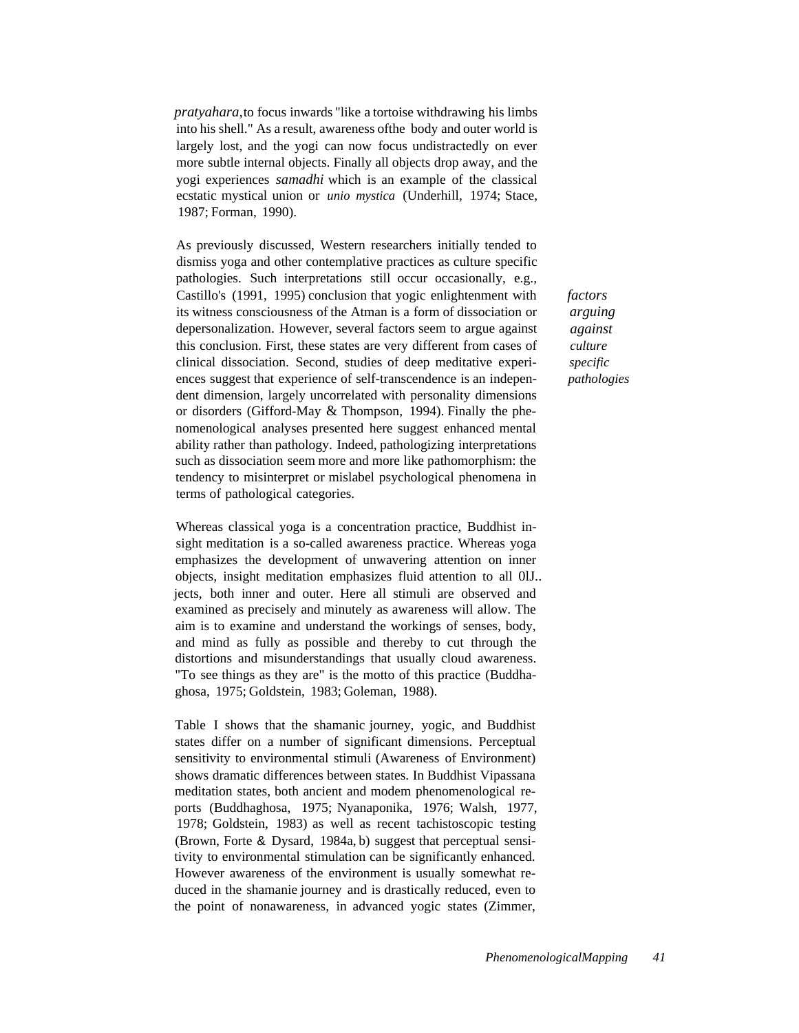*pratyahara,*to focus inwards "like a tortoise withdrawing his limbs into his shell." As a result, awareness ofthe body and outer world is largely lost, and the yogi can now focus undistractedly on ever more subtle internal objects. Finally all objects drop away, and the yogi experiences *samadhi* which is an example of the classical ecstatic mystical union or *unio mystica* (Underhill, 1974; Stace, 1987; Forman, 1990).

As previously discussed, Western researchers initially tended to dismiss yoga and other contemplative practices as culture specific pathologies. Such interpretations still occur occasionally, e.g., Castillo's (1991, 1995) conclusion that yogic enlightenment with its witness consciousness of the Atman is a form of dissociation or depersonalization. However, several factors seem to argue against this conclusion. First, these states are very different from cases of clinical dissociation. Second, studies of deep meditative experiences suggest that experience of self-transcendence is an independent dimension, largely uncorrelated with personality dimensions or disorders (Gifford-May & Thompson, 1994). Finally the phenomenological analyses presented here suggest enhanced mental ability rather than pathology. Indeed, pathologizing interpretations such as dissociation seem more and more like pathomorphism: the tendency to misinterpret or mislabel psychological phenomena in terms of pathological categories.

Whereas classical yoga is a concentration practice, Buddhist insight meditation is a so-called awareness practice. Whereas yoga emphasizes the development of unwavering attention on inner objects, insight meditation emphasizes fluid attention to all 0lJ.. jects, both inner and outer. Here all stimuli are observed and examined as precisely and minutely as awareness will allow. The aim is to examine and understand the workings of senses, body, and mind as fully as possible and thereby to cut through the distortions and misunderstandings that usually cloud awareness. "To see things as they are" is the motto of this practice (Buddhaghosa, 1975; Goldstein, 1983; Goleman, 1988).

Table I shows that the shamanic journey, yogic, and Buddhist states differ on a number of significant dimensions. Perceptual sensitivity to environmental stimuli (Awareness of Environment) shows dramatic differences between states. In Buddhist Vipassana meditation states, both ancient and modem phenomenological reports (Buddhaghosa, 1975; Nyanaponika, 1976; Walsh, 1977, 1978; Goldstein, 1983) as well as recent tachistoscopic testing (Brown, Forte & Dysard, 1984a, b) suggest that perceptual sensitivity to environmental stimulation can be significantly enhanced. However awareness of the environment is usually somewhat reduced in the shamanie journey and is drastically reduced, even to the point of nonawareness, in advanced yogic states (Zimmer, *factors arguing against culture specific pathologies*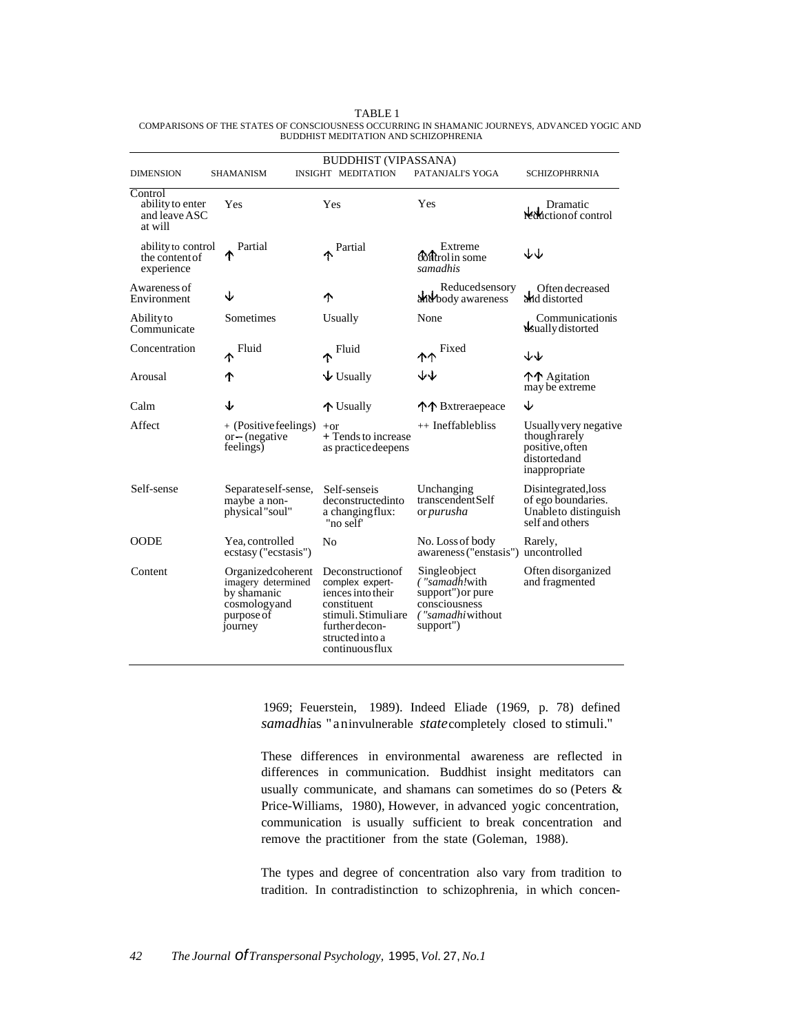|                                                         | <b>BUDDHIST (VIPASSANA)</b>                                                                     |                                                                                                                                                       |                                                                                                       |                                                                                            |  |  |
|---------------------------------------------------------|-------------------------------------------------------------------------------------------------|-------------------------------------------------------------------------------------------------------------------------------------------------------|-------------------------------------------------------------------------------------------------------|--------------------------------------------------------------------------------------------|--|--|
| <b>DIMENSION</b>                                        | <b>SHAMANISM</b>                                                                                | <b>INSIGHT MEDITATION</b>                                                                                                                             | PATANJALI'S YOGA                                                                                      | <b>SCHIZOPHRRNIA</b>                                                                       |  |  |
| Control<br>ability to enter<br>and leave ASC<br>at will | Yes                                                                                             | Yes                                                                                                                                                   | Yes                                                                                                   | Dramatic<br>reduction of control                                                           |  |  |
| ability to control<br>the content of<br>experience      | Partial                                                                                         | Partial                                                                                                                                               | Extreme<br><b>Control</b> in some<br>samadhis                                                         | ↓↓                                                                                         |  |  |
| Awareness of<br>Environment                             | J                                                                                               | ተ                                                                                                                                                     | Reducedsensory<br>and body awareness                                                                  | Often decreased<br>and distorted                                                           |  |  |
| Abilityto<br>Communicate                                | Sometimes                                                                                       | Usually                                                                                                                                               | None                                                                                                  | Communicationis<br>dsually distorted                                                       |  |  |
| Concentration                                           | Fluid<br>ኍ                                                                                      | Fluid                                                                                                                                                 | Fixed<br><b>ተ</b> ተ                                                                                   | ₩                                                                                          |  |  |
| Arousal                                                 | ተ                                                                                               | $\bigvee$ Usually                                                                                                                                     | ₩                                                                                                     | ↑↑ Agitation<br>may be extreme                                                             |  |  |
| Calm                                                    | ↓                                                                                               | ↑ Usually                                                                                                                                             | 个个 Bxtreraepeace                                                                                      | ↓                                                                                          |  |  |
| Affect                                                  | + (Positive feelings)<br>$or$ – (negative<br>feelings)                                          | $+or$<br>+ Tends to increase<br>as practice deepens                                                                                                   | ++ Ineffablebliss                                                                                     | Usually very negative<br>though rarely<br>positive, often<br>distortedand<br>inappropriate |  |  |
| Self-sense                                              | Separate self-sense,<br>maybe a non-<br>physical "soul"                                         | Self-senseis<br>deconstructedinto<br>a changing flux:<br>"no self"                                                                                    | Unchanging<br>transcendentSelf<br>or purusha                                                          | Disintegrated, loss<br>of ego boundaries.<br>Unableto distinguish<br>self and others       |  |  |
| <b>OODE</b>                                             | Yea, controlled<br>ecstasy ("ecstasis")                                                         | No                                                                                                                                                    | No. Loss of body<br>awareness ("enstasis")                                                            | Rarely,<br>uncontrolled                                                                    |  |  |
| Content                                                 | Organizedcoherent<br>imagery determined<br>by shamanic<br>cosmologyand<br>purpose of<br>journey | Deconstructionof<br>complex expert-<br>iences into their<br>constituent<br>stimuli. Stimuliare<br>further decon-<br>structed into a<br>continuousflux | Singleobject<br>("samadh!with<br>support") or pure<br>consciousness<br>("samadhi without<br>support") | Often disorganized<br>and fragmented                                                       |  |  |

TABLE 1 COMPARISONS OF THE STATES OF CONSCIOUSNESS OCCURRING IN SHAMANIC JOURNEYS, ADVANCED YOGIC AND BUDDHIST MEDITATION AND SCHIZOPHRENIA

> 1969; Feuerstein, 1989). Indeed Eliade (1969, p. 78) defined *samadhi*as "aninvulnerable *state*completely closed to stimuli."

> These differences in environmental awareness are reflected in differences in communication. Buddhist insight meditators can usually communicate, and shamans can sometimes do so (Peters & Price-Williams, 1980), However, in advanced yogic concentration, communication is usually sufficient to break concentration and remove the practitioner from the state (Goleman, 1988).

> The types and degree of concentration also vary from tradition to tradition. In contradistinction to schizophrenia, in which concen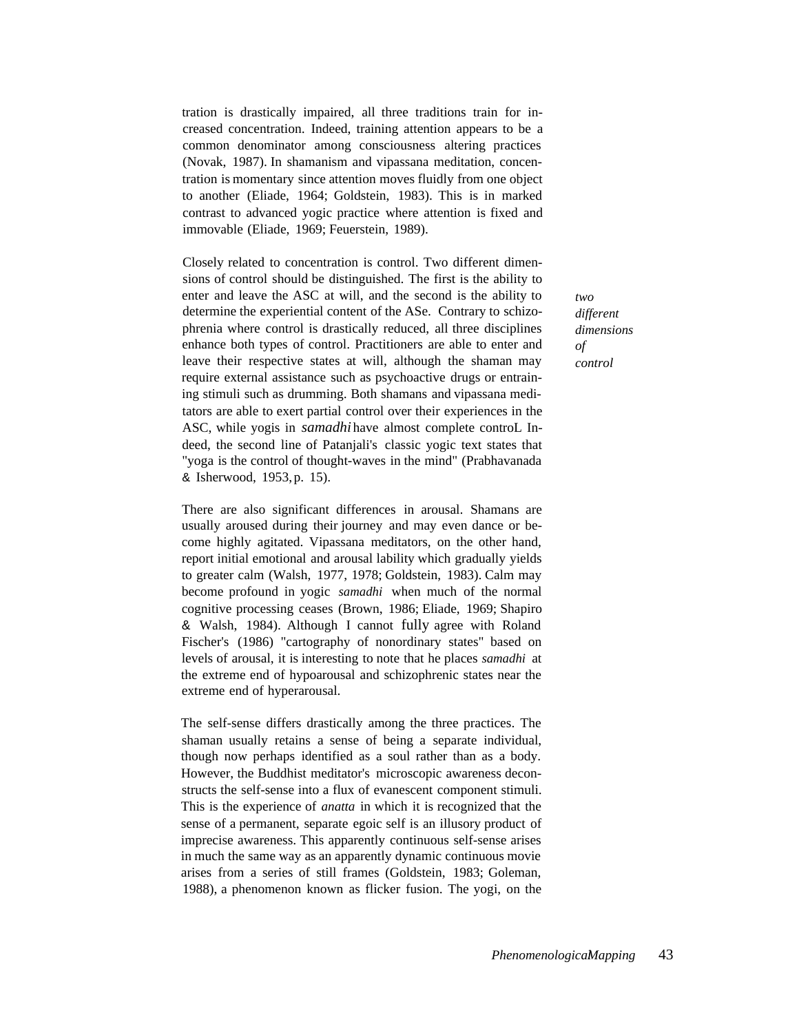tration is drastically impaired, all three traditions train for increased concentration. Indeed, training attention appears to be a common denominator among consciousness altering practices (Novak, 1987). In shamanism and vipassana meditation, concentration is momentary since attention moves fluidly from one object to another (Eliade, 1964; Goldstein, 1983). This is in marked contrast to advanced yogic practice where attention is fixed and immovable (Eliade, 1969; Feuerstein, 1989).

Closely related to concentration is control. Two different dimensions of control should be distinguished. The first is the ability to enter and leave the ASC at will, and the second is the ability to determine the experiential content of the ASe. Contrary to schizophrenia where control is drastically reduced, all three disciplines enhance both types of control. Practitioners are able to enter and leave their respective states at will, although the shaman may require external assistance such as psychoactive drugs or entraining stimuli such as drumming. Both shamans and vipassana meditators are able to exert partial control over their experiences in the ASC, while yogis in *samadhi* have almost complete controL Indeed, the second line of Patanjali's classic yogic text states that "yoga is the control of thought-waves in the mind" (Prabhavanada & Isherwood, 1953, p. 15).

There are also significant differences in arousal. Shamans are usually aroused during their journey and may even dance or become highly agitated. Vipassana meditators, on the other hand, report initial emotional and arousal lability which gradually yields to greater calm (Walsh, 1977, 1978; Goldstein, 1983). Calm may become profound in yogic *samadhi* when much of the normal cognitive processing ceases (Brown, 1986; Eliade, 1969; Shapiro & Walsh, 1984). Although I cannot fully agree with Roland Fischer's (1986) "cartography of nonordinary states" based on levels of arousal, it is interesting to note that he places *samadhi* at the extreme end of hypoarousal and schizophrenic states near the extreme end of hyperarousal.

The self-sense differs drastically among the three practices. The shaman usually retains a sense of being a separate individual, though now perhaps identified as a soul rather than as a body. However, the Buddhist meditator's microscopic awareness deconstructs the self-sense into a flux of evanescent component stimuli. This is the experience of *anatta* in which it is recognized that the sense of a permanent, separate egoic self is an illusory product of imprecise awareness. This apparently continuous self-sense arises in much the same way as an apparently dynamic continuous movie arises from a series of still frames (Goldstein, 1983; Goleman, 1988), a phenomenon known as flicker fusion. The yogi, on the *two different dimensions of control*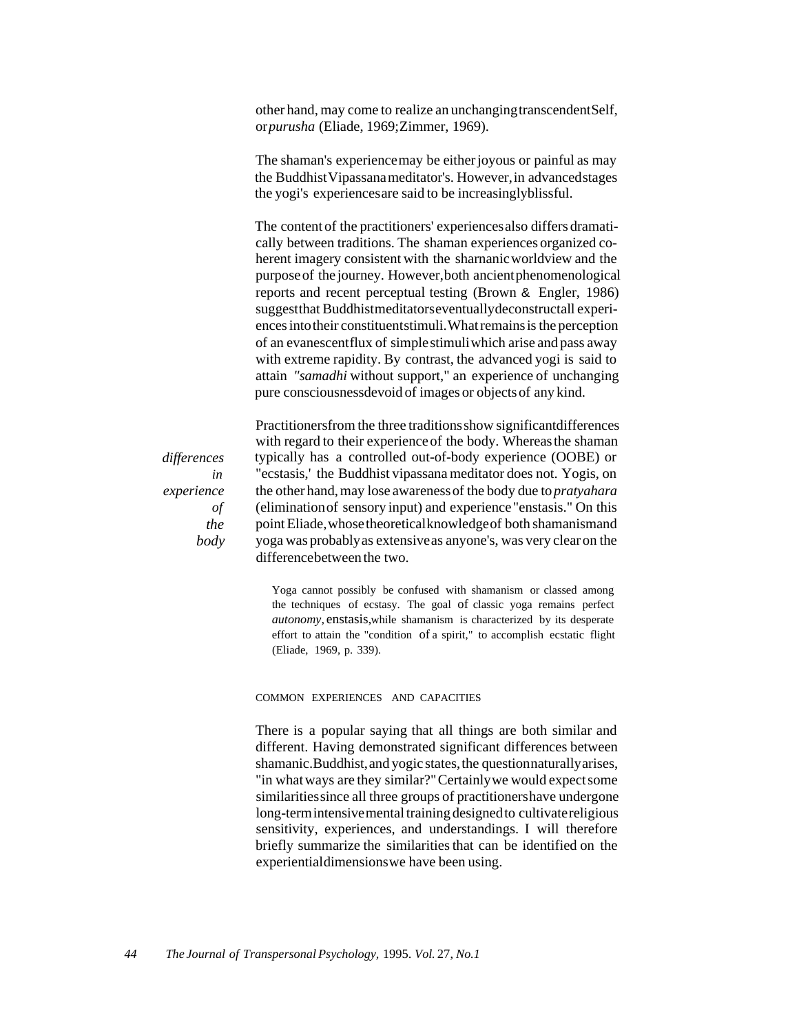other hand, may come to realize an unchangingtranscendentSelf, or*purusha* (Eliade, 1969;Zimmer, 1969).

The shaman's experiencemay be either joyous or painful as may the BuddhistVipassanameditator's. However,in advancedstages the yogi's experiencesare said to be increasinglyblissful.

The content of the practitioners' experiencesalso differs dramatically between traditions. The shaman experiences organized coherent imagery consistent with the sharnanicworldview and the purposeof thejourney. However,both ancientphenomenological reports and recent perceptual testing (Brown & Engler, 1986) suggestthat Buddhistmeditatorseventuallydeconstructall experiences into their constituentstimuli. What remains is the perception of an evanescentflux of simplestimuliwhich arise and pass away with extreme rapidity. By contrast, the advanced yogi is said to attain *"samadhi* without support," an experience of unchanging pure consciousnessdevoid of images or objectsof any kind.

*differences in experience of the body* Practitionersfrom the three traditionsshow significantdifferences with regard to their experience of the body. Whereas the shaman typically has a controlled out-of-body experience (OOBE) or "ecstasis,' the Buddhist vipassana meditator does not. Yogis, on the other hand, may lose awarenessof the body due to *pratyahara* (eliminationof sensory input) and experience"enstasis." On this point Eliade,whosetheoreticalknowledgeof both shamanismand yoga was probablyas extensiveas anyone's, was very clear on the differencebetween the two.

Yoga cannot possibly be confused with shamanism or classed among the techniques of ecstasy. The goal of classic yoga remains perfect *autonomy,* enstasis,while shamanism is characterized by its desperate effort to attain the "condition of a spirit," to accomplish ecstatic flight (Eliade, 1969, p. 339).

#### COMMON EXPERIENCES AND CAPACITIES

There is a popular saying that all things are both similar and different. Having demonstrated significant differences between shamanic.Buddhist, and yogic states, the questionnaturally arises, "in what ways are they similar?"Certainlywe would expectsome similaritiessince all three groups of practitionershave undergone long-termintensivemental training designedto cultivatereligious sensitivity, experiences, and understandings. I will therefore briefly summarize the similarities that can be identified on the experientialdimensionswe have been using.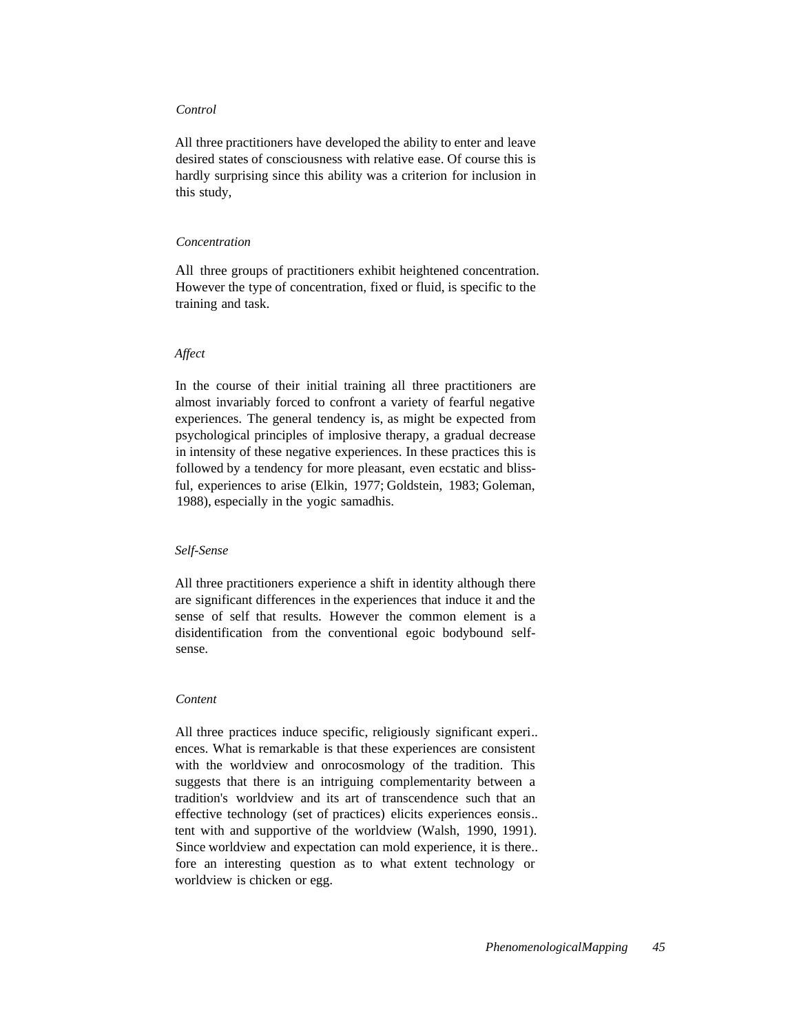## *Control*

All three practitioners have developed the ability to enter and leave desired states of consciousness with relative ease. Of course this is hardly surprising since this ability was a criterion for inclusion in this study,

# *Concentration*

All three groups of practitioners exhibit heightened concentration. However the type of concentration, fixed or fluid, is specific to the training and task.

#### *Affect*

In the course of their initial training all three practitioners are almost invariably forced to confront a variety of fearful negative experiences. The general tendency is, as might be expected from psychological principles of implosive therapy, a gradual decrease in intensity of these negative experiences. In these practices this is followed by a tendency for more pleasant, even ecstatic and blissful, experiences to arise (Elkin, 1977; Goldstein, 1983; Goleman, 1988), especially in the yogic samadhis.

## *Self-Sense*

All three practitioners experience a shift in identity although there are significant differences in the experiences that induce it and the sense of self that results. However the common element is a disidentification from the conventional egoic bodybound selfsense.

## *Content*

All three practices induce specific, religiously significant experi.. ences. What is remarkable is that these experiences are consistent with the worldview and onrocosmology of the tradition. This suggests that there is an intriguing complementarity between a tradition's worldview and its art of transcendence such that an effective technology (set of practices) elicits experiences eonsis.. tent with and supportive of the worldview (Walsh, 1990, 1991). Since worldview and expectation can mold experience, it is there.. fore an interesting question as to what extent technology or worldview is chicken or egg.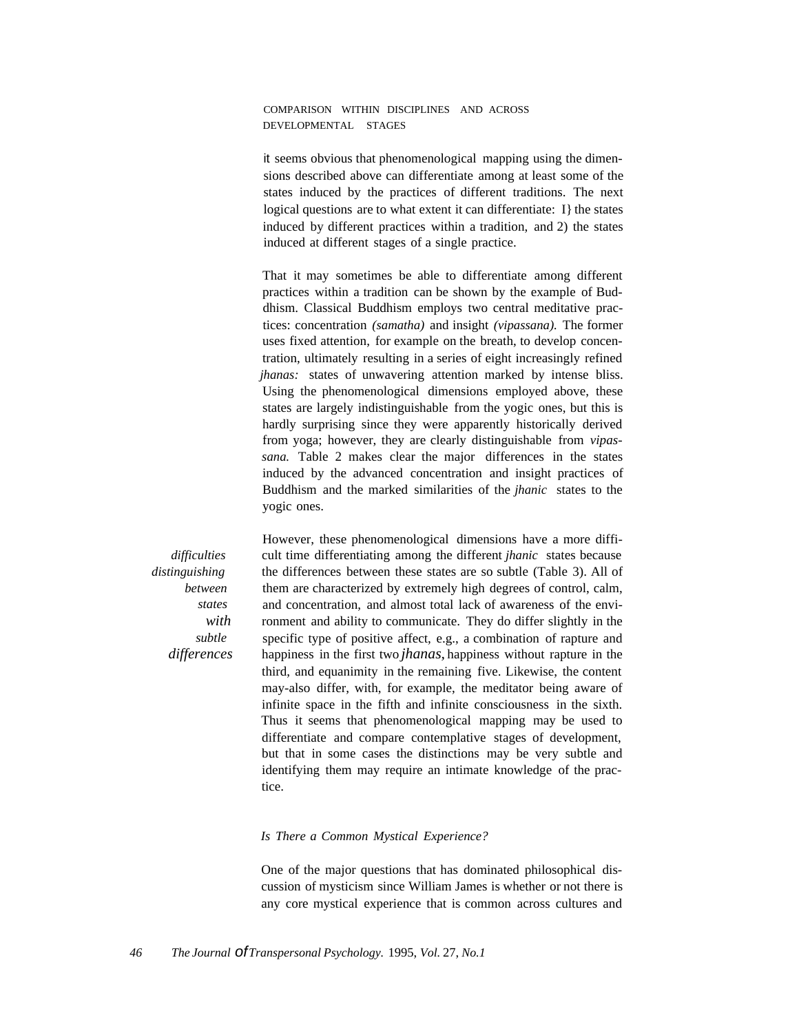COMPARISON WITHIN DISCIPLINES AND ACROSS DEVELOPMENTAL STAGES

it seems obvious that phenomenological mapping using the dimensions described above can differentiate among at least some of the states induced by the practices of different traditions. The next logical questions are to what extent it can differentiate: I} the states induced by different practices within a tradition, and 2) the states induced at different stages of a single practice.

That it may sometimes be able to differentiate among different practices within a tradition can be shown by the example of Buddhism. Classical Buddhism employs two central meditative practices: concentration *(samatha)* and insight *(vipassana).* The former uses fixed attention, for example on the breath, to develop concentration, ultimately resulting in a series of eight increasingly refined *jhanas:* states of unwavering attention marked by intense bliss. Using the phenomenological dimensions employed above, these states are largely indistinguishable from the yogic ones, but this is hardly surprising since they were apparently historically derived from yoga; however, they are clearly distinguishable from *vipassana.* Table 2 makes clear the major differences in the states induced by the advanced concentration and insight practices of Buddhism and the marked similarities of the *jhanic* states to the yogic ones.

*difficulties distinguishing between states with subtle differences* However, these phenomenological dimensions have a more difficult time differentiating among the different *jhanic* states because the differences between these states are so subtle (Table 3). All of them are characterized by extremely high degrees of control, calm, and concentration, and almost total lack of awareness of the environment and ability to communicate. They do differ slightly in the specific type of positive affect, e.g., a combination of rapture and happiness in the first two *jhanas,* happiness without rapture in the third, and equanimity in the remaining five. Likewise, the content may-also differ, with, for example, the meditator being aware of infinite space in the fifth and infinite consciousness in the sixth. Thus it seems that phenomenological mapping may be used to differentiate and compare contemplative stages of development, but that in some cases the distinctions may be very subtle and identifying them may require an intimate knowledge of the practice.

#### *Is There a Common Mystical Experience?*

One of the major questions that has dominated philosophical discussion of mysticism since William James is whether or not there is any core mystical experience that is common across cultures and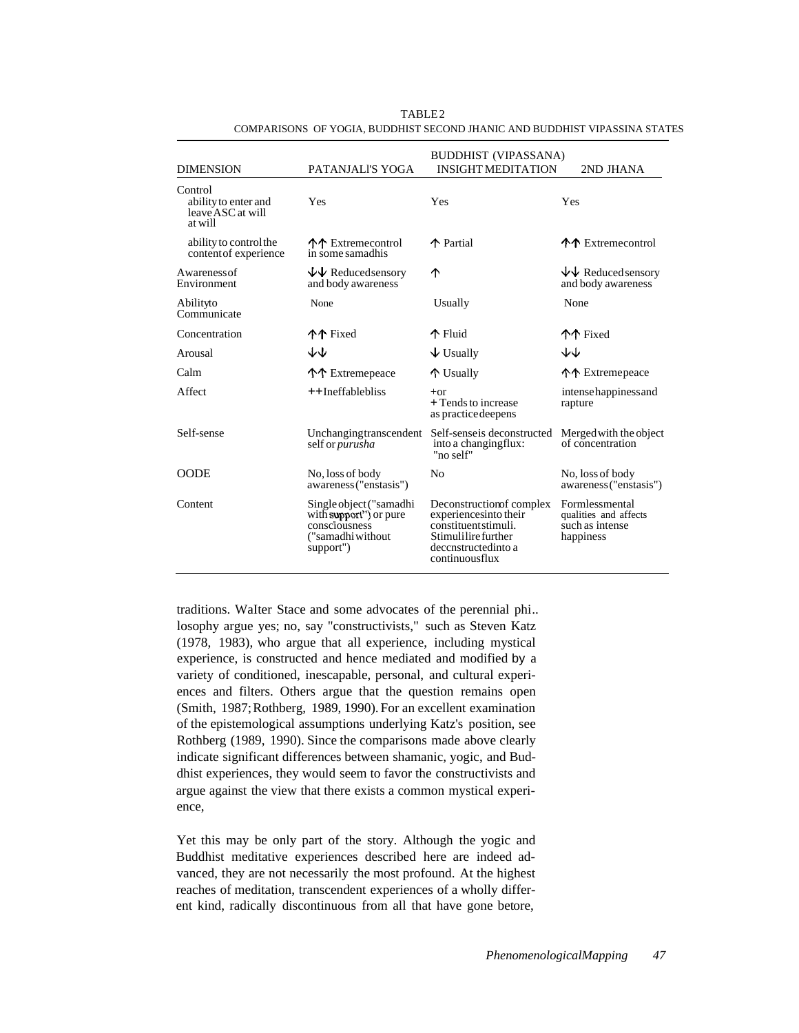|                                                                 |                                                                                                      | <b>BUDDHIST (VIPASSANA)</b>                                                                                                                |                                                                         |  |
|-----------------------------------------------------------------|------------------------------------------------------------------------------------------------------|--------------------------------------------------------------------------------------------------------------------------------------------|-------------------------------------------------------------------------|--|
| <b>DIMENSION</b>                                                | PATANJALI'S YOGA                                                                                     | <b>INSIGHT MEDITATION</b>                                                                                                                  | 2ND JHANA                                                               |  |
| Control<br>ability to enter and<br>leave ASC at will<br>at will | Yes                                                                                                  | Yes                                                                                                                                        | Yes                                                                     |  |
| ability to control the<br>content of experience                 | 个个 Extremecontrol<br>in some samadhis                                                                | ↑ Partial                                                                                                                                  | 个个 Extremecontrol                                                       |  |
| Awareness of<br>Environment                                     | $\overline{\Psi}\Psi$ Reducedsensory<br>and body awareness                                           | ተ                                                                                                                                          | $\forall\forall$ Reduced sensory<br>and body awareness                  |  |
| Abilityto<br>Communicate                                        | None                                                                                                 | Usually                                                                                                                                    | None                                                                    |  |
| Concentration                                                   | 个个 Fixed                                                                                             | $\mathbf{\hat{P}}$ Fluid                                                                                                                   | <u> ተተ</u> Fixed                                                        |  |
| Arousal                                                         | ↓↓                                                                                                   | $\overline{\mathbf{\Psi}}$ Usually                                                                                                         | ጉጉ                                                                      |  |
| Calm                                                            | 个个 Extremepeace                                                                                      | 个 Usually                                                                                                                                  | 个个 Extremepeace                                                         |  |
| Affect                                                          | ++Ineffablebliss                                                                                     | $+$ or<br>$+$ Tends to increase<br>as practice deepens                                                                                     | intense happiness and<br>rapture                                        |  |
| Self-sense                                                      | Unchangingtranscendent<br>self or <i>purusha</i>                                                     | Self-senseis deconstructed<br>into a changingflux:<br>"no self"                                                                            | Merged with the object<br>of concentration                              |  |
| <b>OODE</b>                                                     | No, loss of body<br>awareness ("enstasis")                                                           | N <sub>0</sub>                                                                                                                             | No, loss of body<br>awareness ("enstasis")                              |  |
| Content                                                         | Single object ("samadhi<br>with support") or pure<br>consciousness<br>("samadhi without<br>support") | Deconstruction fcomplex<br>experiences into their<br>constituent stimuli.<br>Stimulilire further<br>decenstructed into a<br>continuousflux | Formlessmental<br>qualities and affects<br>such as intense<br>happiness |  |

TABLE 2 COMPARISONS OF YOGIA, BUDDHIST SECOND JHANIC AND BUDDHIST VIPASSINA STATES

traditions. WaIter Stace and some advocates of the perennial phi.. losophy argue yes; no, say "constructivists," such as Steven Katz (1978, 1983), who argue that all experience, including mystical experience, is constructed and hence mediated and modified by a variety of conditioned, inescapable, personal, and cultural experiences and filters. Others argue that the question remains open (Smith, 1987;Rothberg, 1989, 1990). For an excellent examination of the epistemological assumptions underlying Katz's position, see Rothberg (1989, 1990). Since the comparisons made above clearly indicate significant differences between shamanic, yogic, and Buddhist experiences, they would seem to favor the constructivists and argue against the view that there exists a common mystical experience,

Yet this may be only part of the story. Although the yogic and Buddhist meditative experiences described here are indeed advanced, they are not necessarily the most profound. At the highest reaches of meditation, transcendent experiences of a wholly different kind, radically discontinuous from all that have gone betore,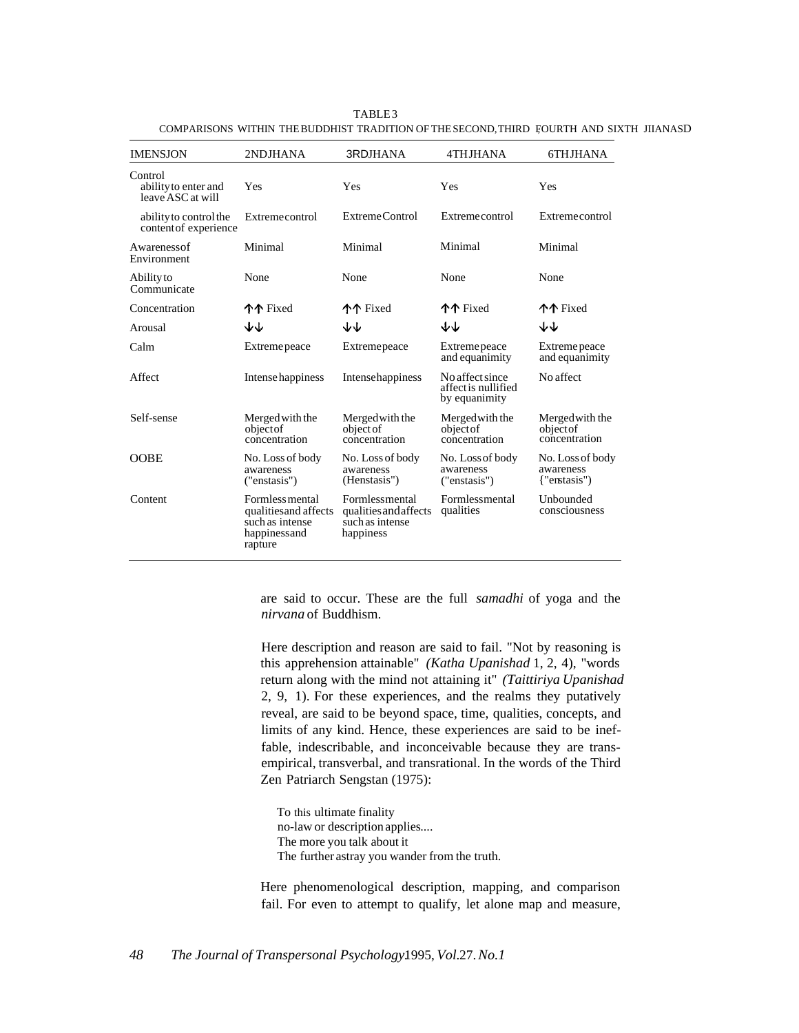| <b>IMENSJON</b>                                      | 2NDJHANA                                                                               | 3RDJHANA                                                                | 4THJHANA                                                | 6THJHANA                                      |
|------------------------------------------------------|----------------------------------------------------------------------------------------|-------------------------------------------------------------------------|---------------------------------------------------------|-----------------------------------------------|
| Control<br>ability to enter and<br>leave ASC at will | Yes                                                                                    | Yes                                                                     | Yes                                                     | Yes                                           |
| ability to control the<br>content of experience      | Extremecontrol                                                                         | ExtremeControl                                                          | Extremecontrol                                          | Extremecontrol                                |
| Awarenessof<br>Environment                           | Minimal                                                                                | Minimal                                                                 | Minimal                                                 | Minimal                                       |
| Ability to<br>Communicate                            | None                                                                                   | None                                                                    | None                                                    | None                                          |
| Concentration                                        | <b>个个</b> Fixed                                                                        | <b>个个</b> Fixed                                                         | 个个 Fixed                                                | 个个 Fixed                                      |
| Arousal                                              | すで                                                                                     | ₩                                                                       | ₩                                                       | ₩                                             |
| Calm                                                 | Extreme peace                                                                          | Extremepeace                                                            | Extreme peace<br>and equanimity                         | Extreme peace<br>and equanimity               |
| Affect                                               | Intense happiness                                                                      | Intensehappiness                                                        | No affect since<br>affect is nullified<br>by equanimity | No affect                                     |
| Self-sense                                           | Merged with the<br>objectof<br>concentration                                           | Merged with the<br>object of<br>concentration                           | Merged with the<br>objectof<br>concentration            | Merged with the<br>objectof<br>concentration  |
| <b>OOBE</b>                                          | No. Loss of body<br>awareness<br>("enstasis")                                          | No. Loss of body<br>awareness<br>(Henstasis")                           | No. Loss of body<br>awareness<br>("enstasis")           | No. Loss of body<br>awareness<br>{"enstasis"} |
| Content                                              | Formless mental<br>qualities and affects<br>such as intense<br>happinessand<br>rapture | Formlessmental<br>qualities and affects<br>such as intense<br>happiness | Formlessmental<br>qualities                             | Unbounded<br>consciousness                    |
|                                                      |                                                                                        |                                                                         |                                                         |                                               |

TABLE 3 COMPARISONS WITHIN THEBUDDHIST TRADITION OF THESECOND, THIRD FOURTH AND SIXTH JIIANASD

are said to occur. These are the full *samadhi* of yoga and the *nirvana* of Buddhism.

Here description and reason are said to fail. "Not by reasoning is this apprehension attainable" *(Katha Upanishad* 1, 2, 4), "words return along with the mind not attaining it" *(Taittiriya Upanishad* 2, 9, 1). For these experiences, and the realms they putatively reveal, are said to be beyond space, time, qualities, concepts, and limits of any kind. Hence, these experiences are said to be ineffable, indescribable, and inconceivable because they are transempirical, transverbal, and transrational. In the words of the Third Zen Patriarch Sengstan (1975):

To this ultimate finality no-law or description applies.... The more you talk about it The further astray you wander from the truth.

Here phenomenological description, mapping, and comparison fail. For even to attempt to qualify, let alone map and measure,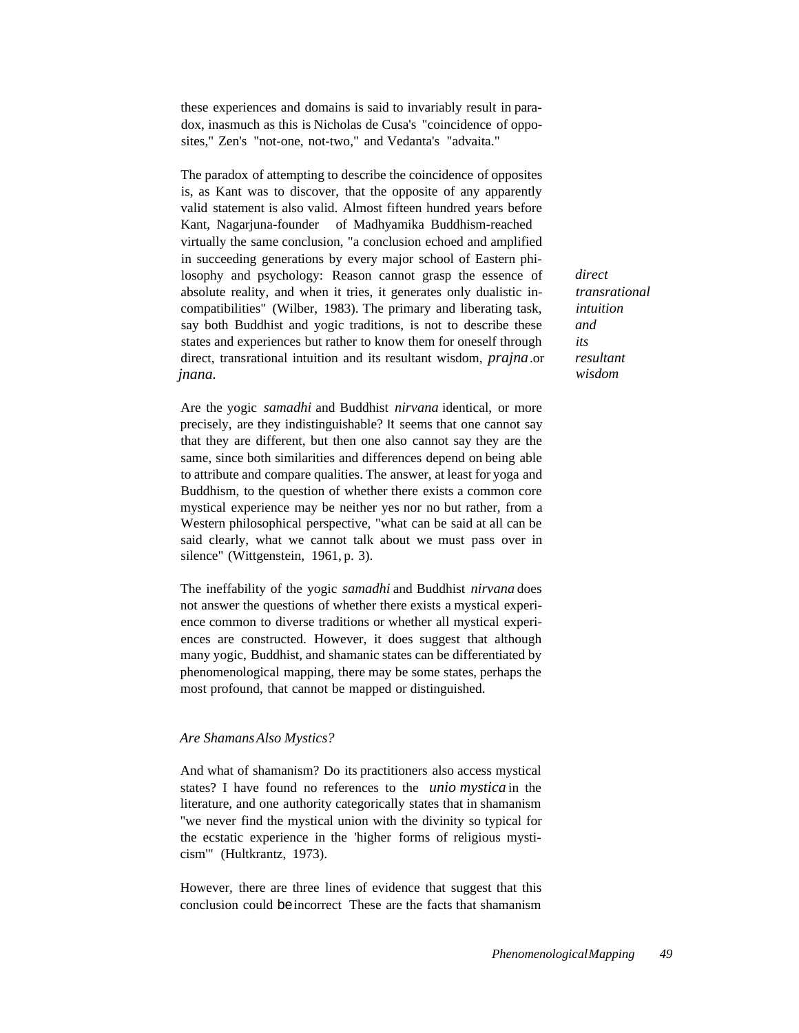these experiences and domains is said to invariably result in paradox, inasmuch as this is Nicholas de Cusa's "coincidence of opposites," Zen's "not-one, not-two," and Vedanta's "advaita."

The paradox of attempting to describe the coincidence of opposites is, as Kant was to discover, that the opposite of any apparently valid statement is also valid. Almost fifteen hundred years before Kant, Nagarjuna-founder of Madhyamika Buddhism-reached virtually the same conclusion, "a conclusion echoed and amplified in succeeding generations by every major school of Eastern philosophy and psychology: Reason cannot grasp the essence of absolute reality, and when it tries, it generates only dualistic incompatibilities" (Wilber, 1983). The primary and liberating task, say both Buddhist and yogic traditions, is not to describe these states and experiences but rather to know them for oneself through direct, transrational intuition and its resultant wisdom, *prajna*.or *jnana.*

Are the yogic *samadhi* and Buddhist *nirvana* identical, or more precisely, are they indistinguishable? It seems that one cannot say that they are different, but then one also cannot say they are the same, since both similarities and differences depend on being able to attribute and compare qualities. The answer, at least for yoga and Buddhism, to the question of whether there exists a common core mystical experience may be neither yes nor no but rather, from a Western philosophical perspective, "what can be said at all can be said clearly, what we cannot talk about we must pass over in silence" (Wittgenstein, 1961, p. 3).

The ineffability of the yogic *samadhi* and Buddhist *nirvana* does not answer the questions of whether there exists a mystical experience common to diverse traditions or whether all mystical experiences are constructed. However, it does suggest that although many yogic, Buddhist, and shamanic states can be differentiated by phenomenological mapping, there may be some states, perhaps the most profound, that cannot be mapped or distinguished.

# *Are ShamansAlso Mystics?*

And what of shamanism? Do its practitioners also access mystical states? I have found no references to the *unio mystica* in the literature, and one authority categorically states that in shamanism "we never find the mystical union with the divinity so typical for the ecstatic experience in the 'higher forms of religious mysticism'" (Hultkrantz, 1973).

However, there are three lines of evidence that suggest that this conclusion could beincorrect These are the facts that shamanism *direct transrational intuition and its resultant wisdom*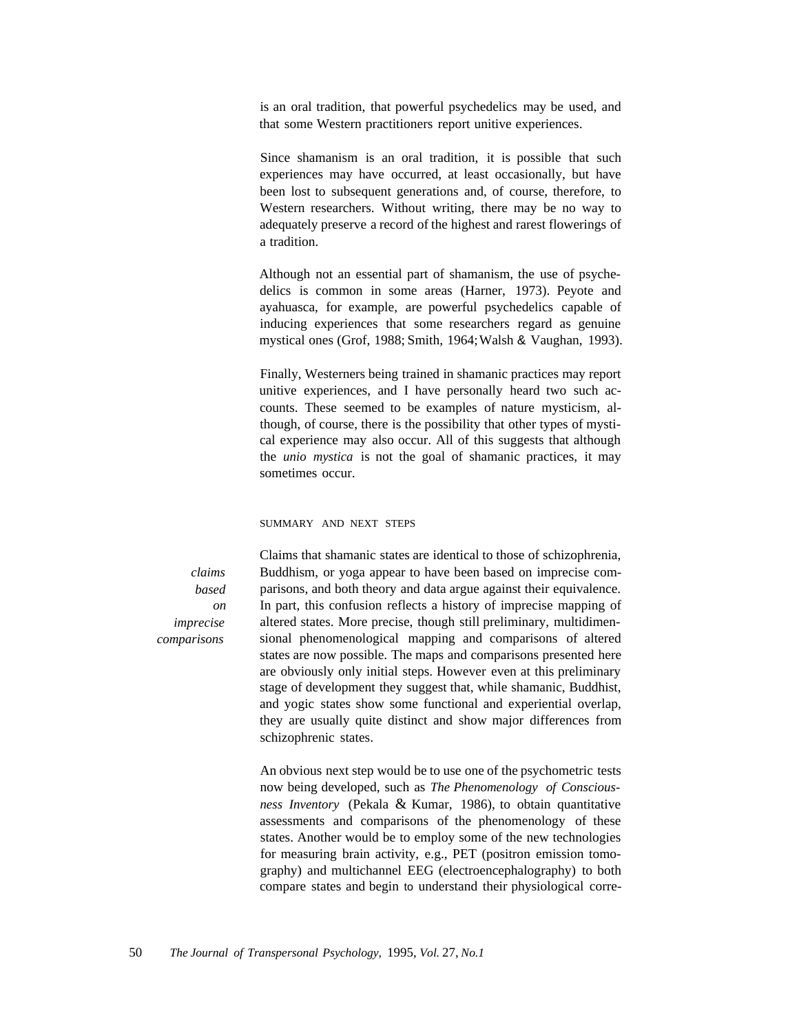is an oral tradition, that powerful psychedelics may be used, and that some Western practitioners report unitive experiences.

Since shamanism is an oral tradition, it is possible that such experiences may have occurred, at least occasionally, but have been lost to subsequent generations and, of course, therefore, to Western researchers. Without writing, there may be no way to adequately preserve a record of the highest and rarest flowerings of a tradition.

Although not an essential part of shamanism, the use of psychedelics is common in some areas (Harner, 1973). Peyote and ayahuasca, for example, are powerful psychedelics capable of inducing experiences that some researchers regard as genuine mystical ones (Grof, 1988; Smith, 1964;Walsh & Vaughan, 1993).

Finally, Westerners being trained in shamanic practices may report unitive experiences, and I have personally heard two such accounts. These seemed to be examples of nature mysticism, although, of course, there is the possibility that other types of mystical experience may also occur. All of this suggests that although the *unio mystica* is not the goal of shamanic practices, it may sometimes occur.

## SUMMARY AND NEXT STEPS

*claims based on imprecise comparisons*

Claims that shamanic states are identical to those of schizophrenia, Buddhism, or yoga appear to have been based on imprecise comparisons, and both theory and data argue against their equivalence. In part, this confusion reflects a history of imprecise mapping of altered states. More precise, though still preliminary, multidimensional phenomenological mapping and comparisons of altered states are now possible. The maps and comparisons presented here are obviously only initial steps. However even at this preliminary stage of development they suggest that, while shamanic, Buddhist, and yogic states show some functional and experiential overlap, they are usually quite distinct and show major differences from schizophrenic states.

An obvious next step would be to use one of the psychometric tests now being developed, such as *The Phenomenology of Consciousness Inventory* (Pekala & Kumar, 1986), to obtain quantitative assessments and comparisons of the phenomenology of these states. Another would be to employ some of the new technologies for measuring brain activity, e.g., PET (positron emission tomography) and multichannel EEG (electroencephalography) to both compare states and begin to understand their physiological corre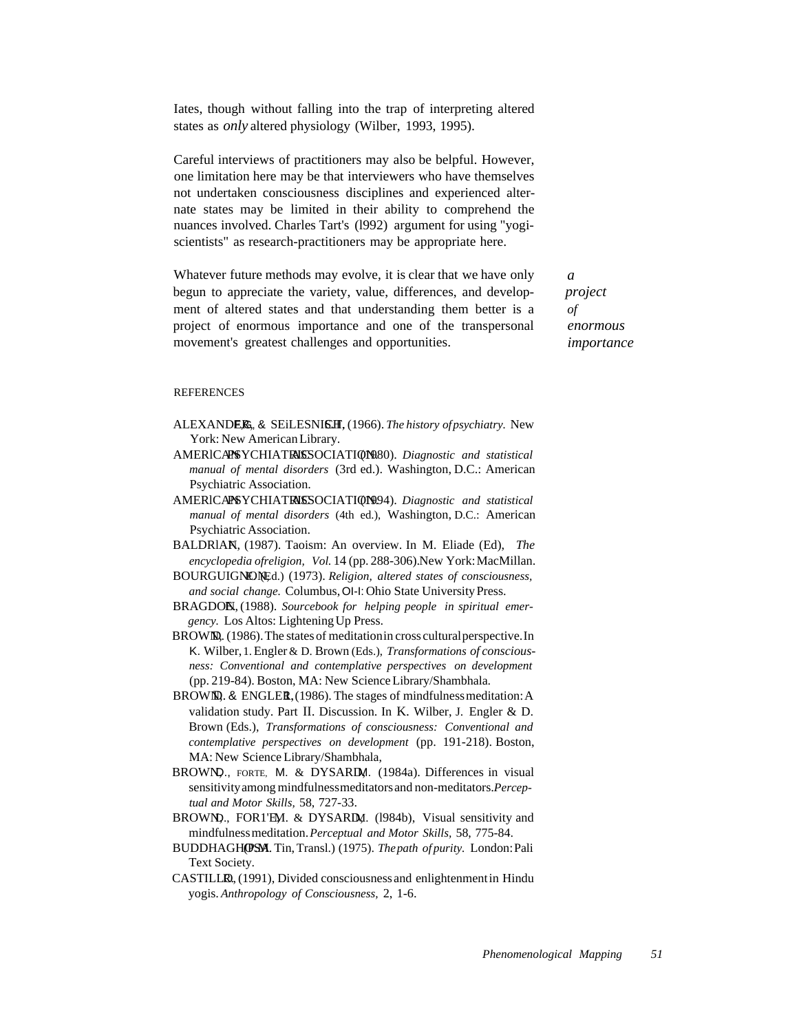Iates, though without falling into the trap of interpreting altered states as *only* altered physiology (Wilber, 1993, 1995).

Careful interviews of practitioners may also be belpful. However, one limitation here may be that interviewers who have themselves not undertaken consciousness disciplines and experienced alternate states may be limited in their ability to comprehend the nuances involved. Charles Tart's (l992) argument for using "yogiscientists" as research-practitioners may be appropriate here.

Whatever future methods may evolve, it is clear that we have only begun to appreciate the variety, value, differences, and development of altered states and that understanding them better is a project of enormous importance and one of the transpersonal movement's greatest challenges and opportunities.

*a project of enormous importance*

## **REFERENCES**

- ALEXANDER, & SEiLESNISH, (1966). *The history of psychiatry*. New York: New American Library.
- AMERlCANPSYCHIATRICASSOCIATION.(1980). *Diagnostic and statistical manual of mental disorders* (3rd ed.). Washington, D.C.: American Psychiatric Association.
- AMERICAPSYCHIATRISSOCIATION994). *Diagnostic and statistical manual of mental disorders* (4th ed.), Washington, D.C.: American Psychiatric Association.
- BALDRIAN, (1987). Taoism: An overview. In M. Eliade (Ed), *The encyclopedia ofreligion, Vol.* 14 (pp. 288-306).New York: MacMillan.
- BOURGUIGNONEd.) (1973). *Religion, altered states of consciousness,* and social change. Columbus, OI-I: Ohio State University Press.
- BRAGDO**N**, (1988). Sourcebook for *helping people in spiritual emergency.* Los Altos: Lightening Up Press.
- BROWIN, (1986). The states of meditation in cross cultural perspective. In K. Wilber,1.Engler& D. Brown (Eds.), *Transformations of consciousness: Conventional and contemplative perspectives on development* (pp. 219-84). Boston, MA: New ScienceLibrary/Shambhala.
- BROWN, & ENGLER,  $(1986)$ . The stages of mindfulness meditation: A validation study. Part II. Discussion. In K. Wilber, J. Engler & D. Brown (Eds.), *Transformations of consciousness: Conventional and contemplative perspectives on development* (pp. 191-218). Boston, MA: New Science Library/Shambhala,
- BROWN, FORTE, M. & DYSARD, (1984a). Differences in visual sensitivityamong mindfulnessmeditatorsand non-meditators.*Perceptual and Motor Skills,* 58, 727-33.
- BROWN)., FOR1'EM. & DYSARD, (1984b), Visual sensitivity and mindfulnessmeditation.*Perceptual and Motor Skills,* 58, 775-84.
- BUDDHAGHOSM. Tin, Transl.) (1975). *The path of purity*. London: Pali Text Society.
- CASTILLO, (1991), Divided consciousness and enlightenment in Hindu yogis. *Anthropology of Consciousness,* 2, 1-6.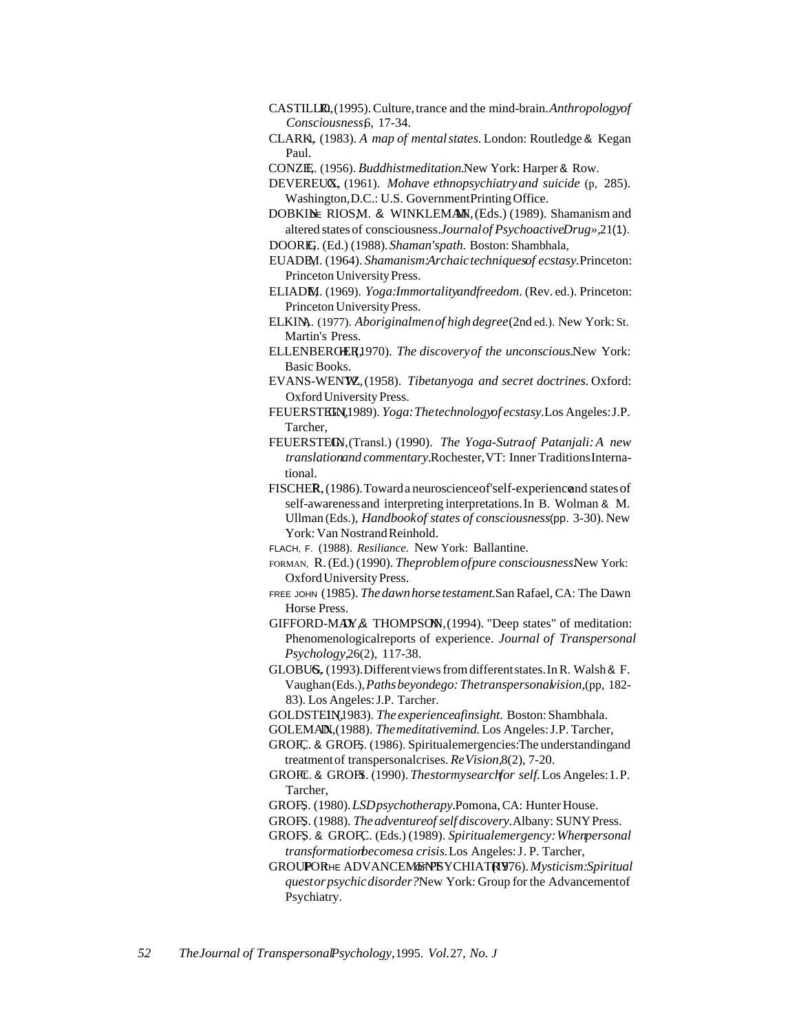- CASTILL**R**. (1995). Culture, trance and the mind-brain. *Anthropologyof Consciousness,*6, 17-34.
- CLARK,1. (1983). *A map of mentalstates.* London: Routledge & Kegan Paul.
- CONZE. (1956). *Buddhistmeditation*.New York: Harper & Row.
- DEVEREUX, (1961). *Mohave ethnopsychiatryand suicide* (p, 285). Washington,D.C.: U.S. GovernmentPrinting Office.
- DOBKINE RIOSM. & WINKLEMAN, (Eds.) (1989). Shamanism and altered states of consciousness.*Journalof PsychoactiveDrug»,*21(1). DOOREG. (Ed.) (1988). Shaman'spath. Boston: Shambhala,
- EUADEM. (1964). *Shamanism:Archaictechniquesof ecstasy*. Princeton: Princeton UniversityPress.
- ELIAD**E**M. (1969). *Yoga:Immortalityandfreedom.* (Rev. ed.). Princeton: Princeton UniversityPress.
- ELKIN, (1977). *Aboriginalmen of high degree* (2nd ed.). New York: St. Martin's Press.
- ELLENBERGER1970). *The discovery of the unconscious.New York:* Basic Books.
- EVANS-WEN**W.** (1958). *Tibetanyoga and secret doctrines*. Oxford: Oxford University Press.
- FEUERST**HEN**,1989). *Yoga: The technology of ecstasy*. Los Angeles: J.P. Tarcher,
- FEUERSTECN, (Transl.) (1990). *The Yoga-Sutraof Patanjali: A new translationand commentary.*Rochester,VT: Inner TraditionsInternational.
- FISCHER, (1986). Towarda neuroscience of self-experience and states of self-awarenessand interpreting interpretations.In B. Wolman & M. Ullman (Eds.), *Handbookof states of consciousness*(pp. 3-30). New York: Van Nostrand Reinhold.
- FLACH, F. (1988). *Resiliance.* New York: Ballantine.
- FORMAN, R.(Ed.) (1990). *Theproblemofpure consciousness.*New York: Oxford University Press.
- FREE JOHN (1985). *Thedawnhorsetestament.*San Rafael, CA: The Dawn Horse Press.
- GIFFORD-MAY,& THOMPSON, (1994). "Deep states" of meditation: Phenomenologicalreports of experience. *Journal of Transpersonal Psychology,*26(2), 117-38.
- GLOBUS, (1993). Different views from different states. In R. Walsh & F. Vaughan(Eds.),*Pathsbeyondego: Thetranspersonalvision,*(pp, 182- 83). Los Angeles:J.P. Tarcher.
- GOLDSTEIN, 1983). *The experienceafinsight*. Boston: Shambhala.
- GOLEMAN, (1988). *The meditativemind*. Los Angeles: J.P. Tarcher,
- GROFC, & GROFS. (1986). Spiritualemergencies: The understandingand treatmentof transpersonalcrises. *ReVision,*8(2), 7-20.
- GROFTC. & GROFS. (1990). *Thestormysearchfor self.* Los Angeles: 1.P. Tarcher,
- GROFS. (1980). *LSDpsychotherapy*. Pomona, CA: Hunter House.
- GROFS. (1988). *The adventure of self discovery*. Albany: SUNY Press.
- GROFS. & GROFC. (Eds.) (1989). *Spiritualemergency: Whenpersonal transformationbecomesa crisis.*Los Angeles:J. P. Tarcher,
- GROUPORHE ADVANCEMENT YCHIATRY76). Mysticism: Spiritual *questorpsychicdisorder?*New York: Group for the Advancementof Psychiatry.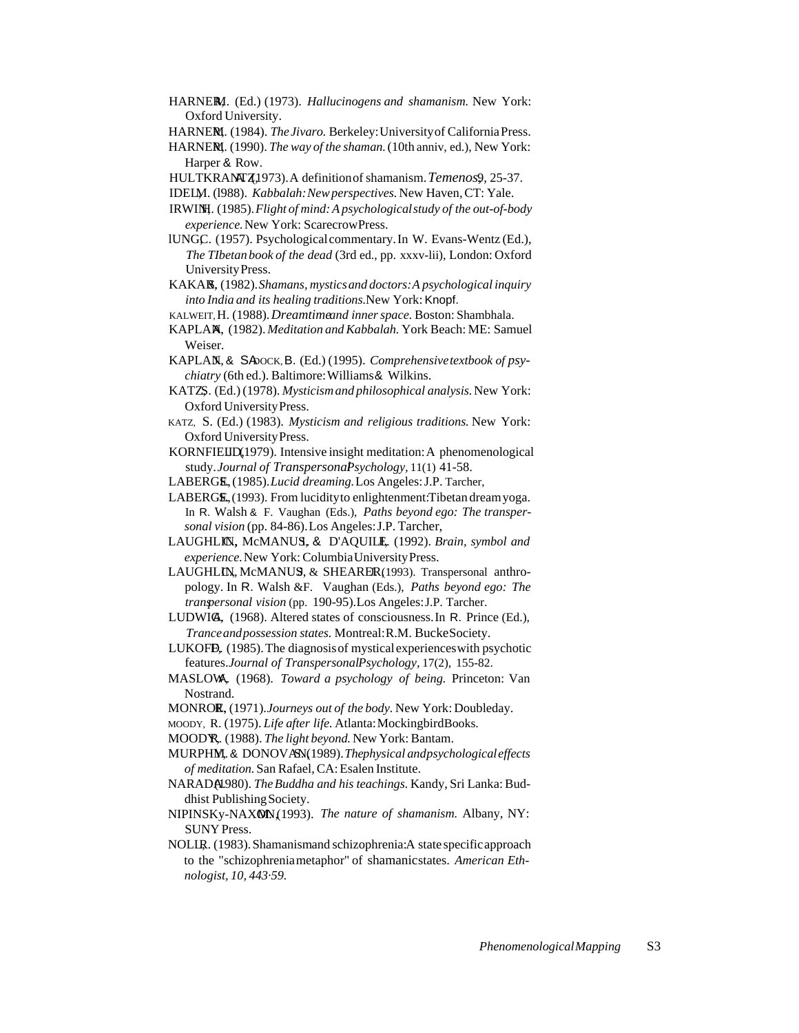- HARNERI. (Ed.) (1973). *Hallucinogens and shamanism*. New York: Oxford University.
- HARNE**N**, (1984). *The Jivaro*. Berkeley: University of California Press.
- HARNERI. (1990). *The way of the shaman*. (10th anniv, ed.), New York: Harper & Row.
- HULTKRANTZ1973).A definitionof shamanism. Temenos9, 25-37.
- IDELM. (1988). *Kabbalah: New perspectives*. New Haven, CT: Yale.
- IRWINH. (1985). Flight of mind: A psychological study of the out-of-body *experience.*New York: ScarecrowPress.
- lUNGC. (1957). Psychological commentary. In W. Evans-Wentz (Ed.), *The TIbetan book of the dead* (3rd ed., pp. xxxv-lii), London: Oxford UniversityPress.
- KAKA**R**, (1982). Shamans, mystics and doctors: A psychological inquiry *into India and its healing traditions.*New York: Knopf.
- KALWEIT,H. (1988).*Dreamtimeand inner space.* Boston: Shambhala.
- KAPLAN, (1982). *Meditation and Kabbalah*. York Beach: ME: Samuel Weiser.
- KAPLAN, & SA ock, B. (Ed.) (1995). *Comprehensive textbook of psychiatry* (6th ed.). Baltimore:Williams& Wilkins.
- KATZ,S. (Ed.) (1978). *Mysticism and philosophical analysis*. New York: Oxford UniversityPress.
- KATZ, S. (Ed.) (1983). *Mysticism and religious traditions.* New York: Oxford UniversityPress.
- KORNFIELID, 1979). Intensive insight meditation: A phenomenological study.*Journal of TranspersonalPsychology,* 11(1) 41-58.
- LABERGE, (1985). *Lucid dreaming*. Los Angeles: J.P. Tarcher,
- $LABERG\mathbb{E}$ , (1993). From lucidity to enlightenment: Tibetan dreamyoga. In R. Walsh & F. Vaughan (Eds.), *Paths beyond ego: The transpersonal vision* (pp. 84-86).Los Angeles:J.P. Tarcher,
- LAUGHLIN, McMANUS, & D'AQUILE, (1992). *Brain, symbol and experience.*New York: ColumbiaUniversityPress.
- LAUGHLIN, McMANUS, & SHEARER(1993). Transpersonal anthropology. In R. Walsh &F. Vaughan (Eds.), *Paths beyond ego: The transpersonal vision* (pp. 190-95).Los Angeles:J.P. Tarcher.
- LUDWIG, (1968). Altered states of consciousness.In R. Prince (Ed.), *Tranceandpossession states.* Montreal:R.M. BuckeSociety.
- LUKOFB,  $(1985)$ . The diagnosis of mystical experiences with psychotic features.*Journal of TranspersonalPsychology,* 17(2), 155-82.
- MASLOW, A. (1968). *Toward a psychology of being.* Princeton: Van Nostrand.
- MONROE, (1971).*Journeys out of the body*. New York: Doubleday.
- MOODY, R. (1975). *Life after life.* Atlanta:MockingbirdBooks.
- MOOD<sup>R</sup>, (1988). *The light beyond*. New York: Bantam.
- MURPHM, & DONOVAN(1989). Thephysical andpsychological effects *of meditation.* San Rafael, CA: Esalen Institute.
- NARADA.(1980). *The Buddha and his teachings.* Kandy, Sri Lanka: Buddhist PublishingSociety.
- NIPINSKy-NAXON,(1993). *The nature of shamanism*. Albany, NY: SUNY Press.
- NOLIR. (1983). Shamanismand schizophrenia:A state specific approach to the "schizophreniametaphor" of shamanicstates. *American Ethnologist, 10, 443·59.*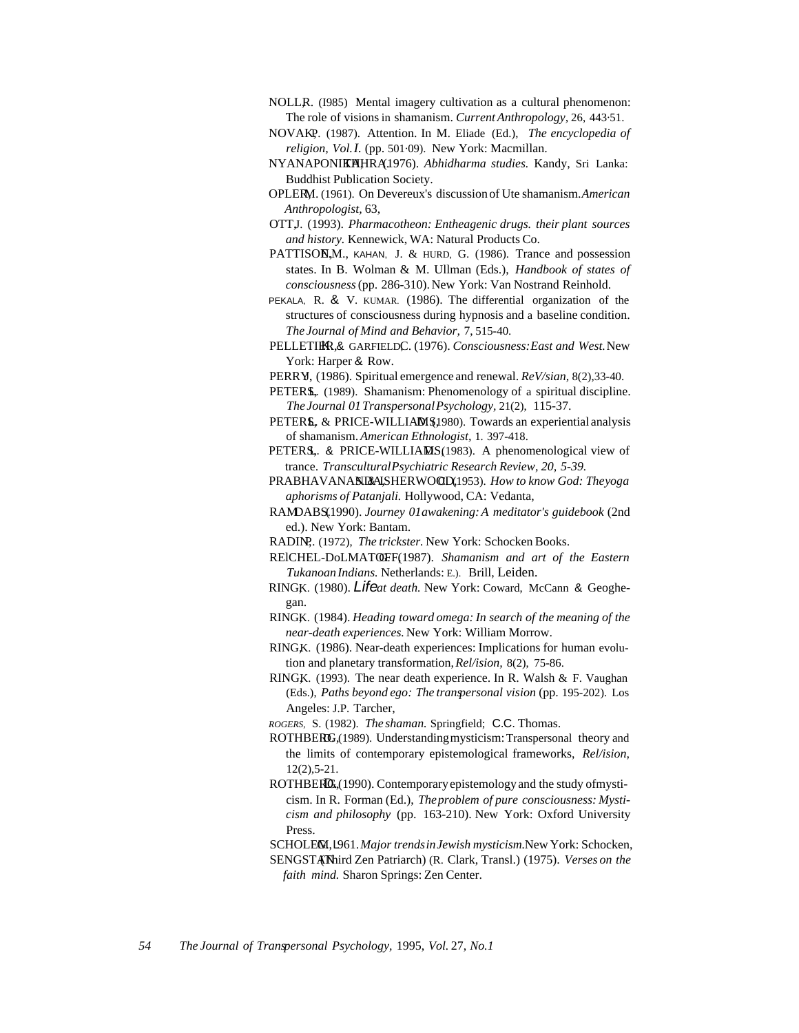- NOLLR. (I985) Mental imagery cultivation as a cultural phenomenon: The role of visions in shamanism. *Current Anthropology,* 26, 443·51.
- NOVAKP. (1987). Attention. In M. Eliade (Ed.), *The encyclopedia of religion, Vol.I.* (pp. 501·09). New York: Macmillan.
- NYANAPONIKHHRA,1976). *Abhidharma studies*. Kandy, Sri Lanka: Buddhist Publication Society.
- OPLERM. (1961). On Devereux's discussion of Ute shamanism. American  $Anthropologist, 63,$
- OTT,J. (1993). *Pharmacotheon: Entheagenic drugs. their plant sources and history.* Kennewick, WA: Natural Products Co.
- PATTISON,M., KAHAN, J. & HURD, G. (1986). Trance and possession states. In B. Wolman & M. Ullman (Eds.), *Handbook of states of consciousness*(pp. 286-310). New York: Van Nostrand Reinhold.
- PEKALA, R. & V. KUMAR. (1986). The differential organization of the structures of consciousness during hypnosis and a baseline condition. *The Journal of Mind and Behavior,* 7, 515-40.
- PELLETIER, & GARFIELDC. (1976). *Consciousness: East and West*. New York: Harper & Row.
- PERRY, (1986). Spiritual emergence and renewal. *ReV/sian*, 8(2),33-40.
- PETERS, (1989). Shamanism: Phenomenology of a spiritual discipline. *The Journal 01TranspersonalPsychology,* 21(2), 115-37.
- PETERS, & PRICE-WILLIAMS, 1980). Towards an experiential analysis of shamanism.*American Ethnologist,* 1. 397-418.
- PETERS,. & PRICE-WILLIAMS(1983). A phenomenological view of trance. *TransculturalPsychiatric Research Review, 20, 5-39.*
- PRABHAVANANDALSHERWOOD, 1953). How to know God: Theyoga *aphorisms of Patanjali.* Hollywood, CA: Vedanta,
- RAMDABS.(1990). *Journey 01awakening: A meditator's guidebook* (2nd ed.). New York: Bantam.
- RADIN, (1972), *The trickster*. New York: Schocken Books.
- RElCHEL-DoLMATOFF, G. (1987). *Shamanism and art of the Eastern TukanoanIndians.* Netherlands: E.). Brill, Leiden.
- RINGK. (1980). Lifeat death. New York: Coward, McCann & Geoghegan.
- RINGK. (1984). *Heading toward omega: In search of the meaning of the near-death experiences.* New York: William Morrow.
- RINGK. (1986). Near-death experiences: Implications for human evolution and planetary transformation,*Rel/ision,* 8(2), 75-86.
- RINGK. (1993). The near death experience. In R. Walsh & F. Vaughan (Eds.), *Paths beyond ego: The transpersonal vision* (pp. 195-202). Los Angeles: J.P. Tarcher,
- *ROGERS,* S. (1982). *The shaman.* Springfield; C.C. Thomas.
- ROTHBERG, (1989). Understanding mysticism: Transpersonal theory and the limits of contemporary epistemological frameworks, *Rel/ision,* 12(2),5-21.
- ROTHBER $\mathbb{G}$ , (1990). Contemporary epistemology and the study of mysticism. In R. Forman (Ed.), *Theproblem of pure consciousness: Mysticism and philosophy* (pp. 163-210). New York: Oxford University Press.
- SCHOLEM, L961. Major trends in Jewish mysticism.New York: Schocken, SENGSTAN(Third Zen Patriarch) (R. Clark, Transl.) (1975). *Verses on the faith mind.* Sharon Springs: Zen Center.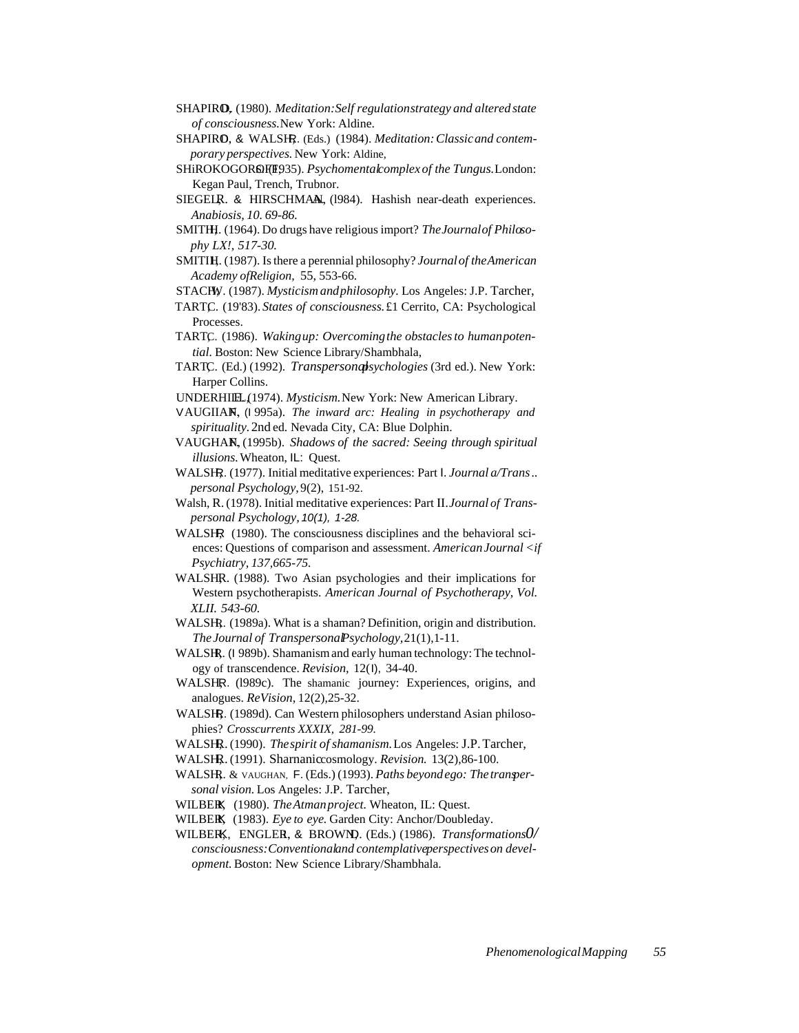- SHAPIR<sub>O</sub>, (1980). *Meditation: Self regulationstrategy and altered state of consciousness.*New York: Aldine.
- SHAPIRO, & WALSIR. (Eds.) (1984). *Meditation: Classic and contemporary perspectives.* New York: Aldine,
- SHiROKOGOR**Q**F(F935). *Psychomentalcomplex of the Tungus*. London: Kegan Paul, Trench, Trubnor.
- SIEGELR. & HIRSCHMAN, (1984). Hashish near-death experiences. *Anabiosis, 10. 69-86.*
- SMITH, (1964). Do drugs have religious import? *The Journal of Philosophy LX!, 517-30.*
- SMITIH. (1987). Is there a perennial philosophy? *Journal of the American Academy ofReligion,* 55, 553-66.
- STACHV. (1987). *Mysticism and philosophy*. Los Angeles: J.P. Tarcher,
- TARTC. (19'83). *States of consciousness*. £1 Cerrito, CA: Psychological Processes.
- TARTC. (1986). Wakingup: Overcoming the obstacles to human poten*tial.* Boston: New Science Library/Shambhala,
- TARTC. (Ed.) (1992). *Transpersonalsychologies* (3rd ed.). New York: Harper Collins.
- UNDERHILL, (1974). *Mysticism*. New York: New American Library.
- VAUGIIAN, (1995a). *The inward arc: Healing in psychotherapy and spirituality.*2nd ed. Nevada City, CA: Blue Dolphin.
- VAUGHAN, F. (1995b). *Shadows of the sacred: Seeing through spiritual illusions.*Wheaton, IL: Quest.
- WALSH, (1977). Initial meditative experiences: Part I. *Journal a/Trans.*.. *personal Psychology,*9(2), 151-92.
- Walsh, R. (1978). Initial meditative experiences: Part II.*Journal of Transpersonal Psychology,* 10(1), 1-28.
- WALSHR (1980). The consciousness disciplines and the behavioral sci-ences: Questions of comparison and assessment. *AmericanJournal <if Psychiatry, 137,665-75.*
- WALSHR. (1988). Two Asian psychologies and their implications for Western psychotherapists. *American Journal of Psychotherapy, Vol. XLII. 543-60.*
- WALSH, (1989a). What is a shaman? Definition, origin and distribution. *TheJournal of TranspersonalPsychology,*21(1),1-11.
- WALSHR. (I 989b). Shamanism and early human technology: The technology of transcendence. *Revision,* 12(I), 34-40.
- WALSHR. (1989c). The shamanic journey: Experiences, origins, and analogues. *ReVision,* 12(2),25-32.
- WALSH, (1989d). Can Western philosophers understand Asian philosophies? *Crosscurrents XXXIX, 281-99.*
- WALSHR. (1990). *The spirit of shamanism*. Los Angeles: J.P. Tarcher,
- WALSH, (1991). Sharnaniccosmology. *Revision*. 13(2), 86-100.
- WALSHR. & VAUGHAN, F. (Eds.) (1993). *Paths beyondego: The transpersonal vision.* Los Angeles: J.P. Tarcher,
- WILBER, (1980). *The Atman project*. Wheaton, IL: Quest.
- WILBE**K**, (1983). *Eye to eye*. Garden City: Anchor/Doubleday.
- WILBER, ENGLER, & BROWN, (Eds.) (1986). *Transformations0/ consciousness:Conventionaland contemplativeperspectiveson development.*Boston: New Science Library/Shambhala.